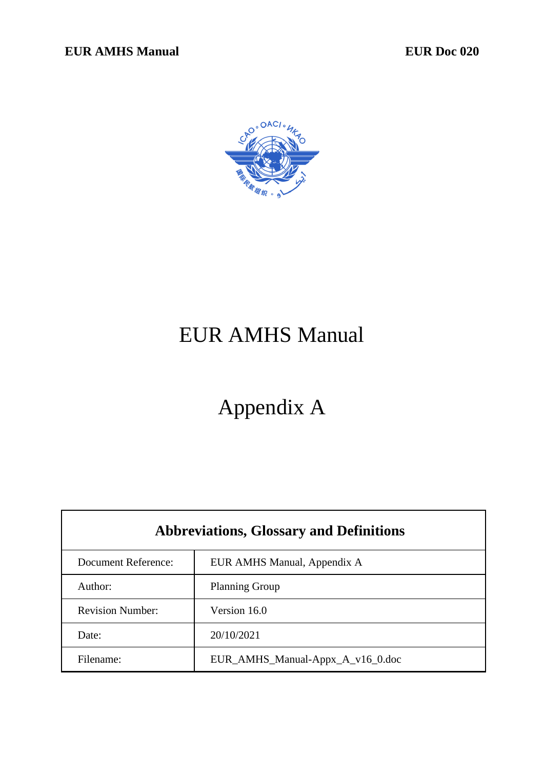

# EUR AMHS Manual

# Appendix A

| <b>Abbreviations, Glossary and Definitions</b> |                                  |  |
|------------------------------------------------|----------------------------------|--|
| <b>Document Reference:</b>                     | EUR AMHS Manual, Appendix A      |  |
| Author:                                        | <b>Planning Group</b>            |  |
| <b>Revision Number:</b>                        | Version 16.0                     |  |
| Date:                                          | 20/10/2021                       |  |
| Filename:                                      | EUR_AMHS_Manual-Appx_A_v16_0.doc |  |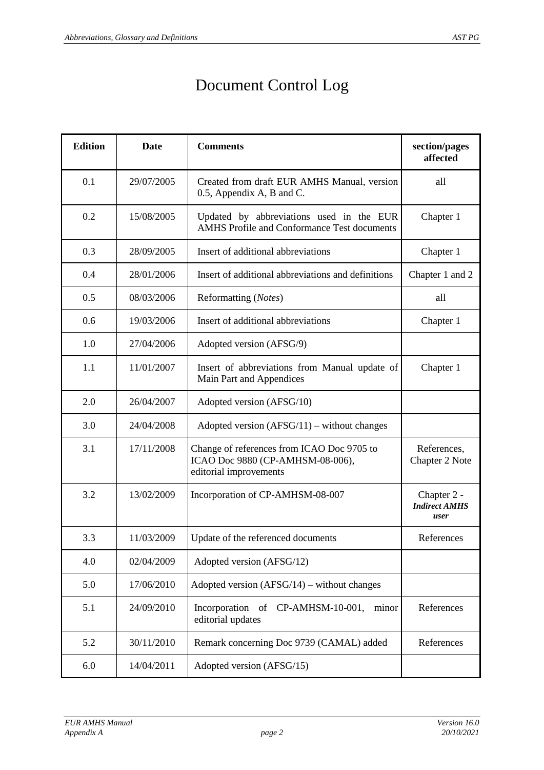## Document Control Log

| <b>Edition</b> | <b>Date</b> | <b>Comments</b>                                                                                          | section/pages<br>affected                   |
|----------------|-------------|----------------------------------------------------------------------------------------------------------|---------------------------------------------|
| 0.1            | 29/07/2005  | Created from draft EUR AMHS Manual, version<br>0.5, Appendix A, B and C.                                 | all                                         |
| 0.2            | 15/08/2005  | Updated by abbreviations used in the EUR<br><b>AMHS</b> Profile and Conformance Test documents           | Chapter 1                                   |
| 0.3            | 28/09/2005  | Insert of additional abbreviations                                                                       | Chapter 1                                   |
| 0.4            | 28/01/2006  | Insert of additional abbreviations and definitions                                                       | Chapter 1 and 2                             |
| 0.5            | 08/03/2006  | Reformatting (Notes)                                                                                     | all                                         |
| 0.6            | 19/03/2006  | Insert of additional abbreviations                                                                       | Chapter 1                                   |
| 1.0            | 27/04/2006  | Adopted version (AFSG/9)                                                                                 |                                             |
| 1.1            | 11/01/2007  | Insert of abbreviations from Manual update of<br>Main Part and Appendices                                | Chapter 1                                   |
| 2.0            | 26/04/2007  | Adopted version (AFSG/10)                                                                                |                                             |
| 3.0            | 24/04/2008  | Adopted version $(AFSG/11)$ – without changes                                                            |                                             |
| 3.1            | 17/11/2008  | Change of references from ICAO Doc 9705 to<br>ICAO Doc 9880 (CP-AMHSM-08-006),<br>editorial improvements | References,<br>Chapter 2 Note               |
| 3.2            | 13/02/2009  | Incorporation of CP-AMHSM-08-007                                                                         | Chapter 2 -<br><b>Indirect AMHS</b><br>user |
| 3.3            | 11/03/2009  | Update of the referenced documents                                                                       | References                                  |
| 4.0            | 02/04/2009  | Adopted version (AFSG/12)                                                                                |                                             |
| 5.0            | 17/06/2010  | Adopted version $(AFSG/14)$ – without changes                                                            |                                             |
| 5.1            | 24/09/2010  | Incorporation<br>of CP-AMHSM-10-001,<br>minor<br>editorial updates                                       | References                                  |
| 5.2            | 30/11/2010  | Remark concerning Doc 9739 (CAMAL) added                                                                 | References                                  |
| 6.0            | 14/04/2011  | Adopted version (AFSG/15)                                                                                |                                             |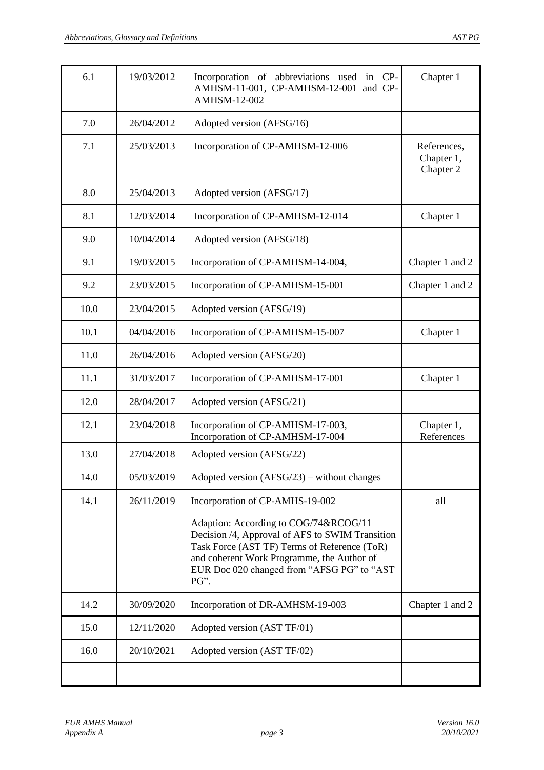| 6.1  | 19/03/2012 | Incorporation of abbreviations used in CP-<br>AMHSM-11-001, CP-AMHSM-12-001 and CP-<br><b>AMHSM-12-002</b>                                                                                                                                   | Chapter 1                              |
|------|------------|----------------------------------------------------------------------------------------------------------------------------------------------------------------------------------------------------------------------------------------------|----------------------------------------|
| 7.0  | 26/04/2012 | Adopted version (AFSG/16)                                                                                                                                                                                                                    |                                        |
| 7.1  | 25/03/2013 | Incorporation of CP-AMHSM-12-006                                                                                                                                                                                                             | References,<br>Chapter 1,<br>Chapter 2 |
| 8.0  | 25/04/2013 | Adopted version (AFSG/17)                                                                                                                                                                                                                    |                                        |
| 8.1  | 12/03/2014 | Incorporation of CP-AMHSM-12-014                                                                                                                                                                                                             | Chapter 1                              |
| 9.0  | 10/04/2014 | Adopted version (AFSG/18)                                                                                                                                                                                                                    |                                        |
| 9.1  | 19/03/2015 | Incorporation of CP-AMHSM-14-004,                                                                                                                                                                                                            | Chapter 1 and 2                        |
| 9.2  | 23/03/2015 | Incorporation of CP-AMHSM-15-001                                                                                                                                                                                                             | Chapter 1 and 2                        |
| 10.0 | 23/04/2015 | Adopted version (AFSG/19)                                                                                                                                                                                                                    |                                        |
| 10.1 | 04/04/2016 | Incorporation of CP-AMHSM-15-007                                                                                                                                                                                                             | Chapter 1                              |
| 11.0 | 26/04/2016 | Adopted version (AFSG/20)                                                                                                                                                                                                                    |                                        |
| 11.1 | 31/03/2017 | Incorporation of CP-AMHSM-17-001                                                                                                                                                                                                             | Chapter 1                              |
| 12.0 | 28/04/2017 | Adopted version (AFSG/21)                                                                                                                                                                                                                    |                                        |
| 12.1 | 23/04/2018 | Incorporation of CP-AMHSM-17-003,<br>Incorporation of CP-AMHSM-17-004                                                                                                                                                                        | Chapter 1,<br>References               |
| 13.0 | 27/04/2018 | Adopted version (AFSG/22)                                                                                                                                                                                                                    |                                        |
| 14.0 | 05/03/2019 | Adopted version $(AFSG/23)$ – without changes                                                                                                                                                                                                |                                        |
| 14.1 | 26/11/2019 | Incorporation of CP-AMHS-19-002                                                                                                                                                                                                              | all                                    |
|      |            | Adaption: According to COG/74&RCOG/11<br>Decision /4, Approval of AFS to SWIM Transition<br>Task Force (AST TF) Terms of Reference (ToR)<br>and coherent Work Programme, the Author of<br>EUR Doc 020 changed from "AFSG PG" to "AST<br>PG". |                                        |
| 14.2 | 30/09/2020 | Incorporation of DR-AMHSM-19-003                                                                                                                                                                                                             | Chapter 1 and 2                        |
| 15.0 | 12/11/2020 | Adopted version (AST TF/01)                                                                                                                                                                                                                  |                                        |
| 16.0 | 20/10/2021 | Adopted version (AST TF/02)                                                                                                                                                                                                                  |                                        |
|      |            |                                                                                                                                                                                                                                              |                                        |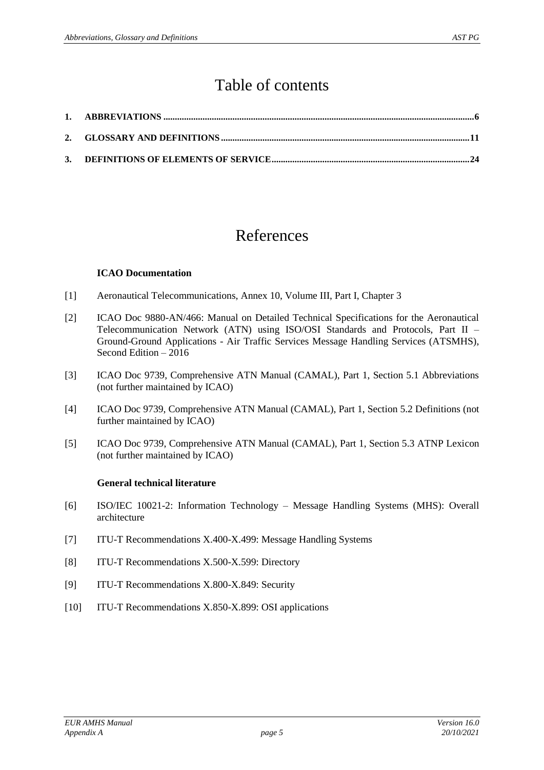### Table of contents

### References

#### **ICAO Documentation**

- <span id="page-4-8"></span><span id="page-4-5"></span>[1] Aeronautical Telecommunications, Annex 10, Volume III, Part I, Chapter 3
- [2] ICAO Doc 9880-AN/466: Manual on Detailed Technical Specifications for the Aeronautical Telecommunication Network (ATN) using ISO/OSI Standards and Protocols, Part II – Ground-Ground Applications - Air Traffic Services Message Handling Services (ATSMHS), Second Edition – 2016
- [3] ICAO Doc 9739, Comprehensive ATN Manual (CAMAL), Part 1, Section 5.1 Abbreviations (not further maintained by ICAO)
- <span id="page-4-6"></span>[4] ICAO Doc 9739, Comprehensive ATN Manual (CAMAL), Part 1, Section 5.2 Definitions (not further maintained by ICAO)
- <span id="page-4-7"></span>[5] ICAO Doc 9739, Comprehensive ATN Manual (CAMAL), Part 1, Section 5.3 ATNP Lexicon (not further maintained by ICAO)

#### **General technical literature**

- <span id="page-4-4"></span>[6] ISO/IEC 10021-2: Information Technology – Message Handling Systems (MHS): Overall architecture
- <span id="page-4-1"></span><span id="page-4-0"></span>[7] ITU-T Recommendations X.400-X.499: Message Handling Systems
- <span id="page-4-2"></span>[8] ITU-T Recommendations X.500-X.599: Directory
- <span id="page-4-3"></span>[9] ITU-T Recommendations X.800-X.849: Security
- [10] ITU-T Recommendations X.850-X.899: OSI applications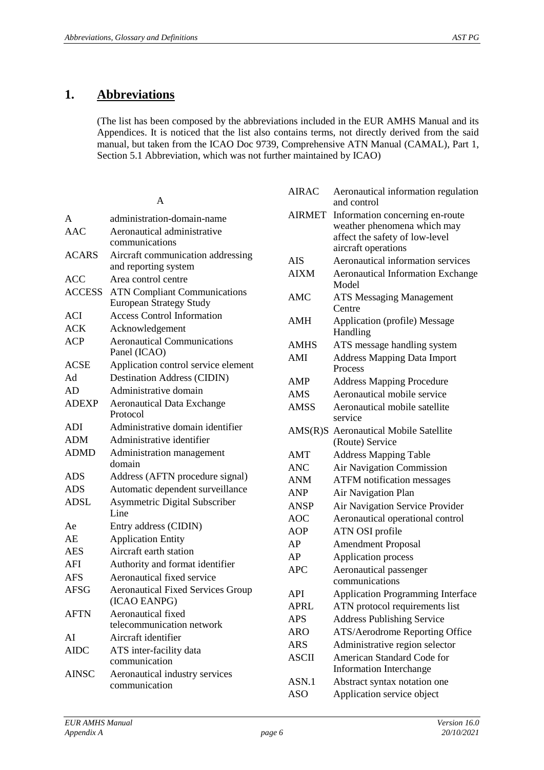### **1. Abbreviations**

(The list has been composed by the abbreviations included in the EUR AMHS Manual and its Appendices. It is noticed that the list also contains terms, not directly derived from the said manual, but taken from the ICAO Doc 9739, Comprehensive ATN Manual (CAMAL), Part 1, Section 5.1 Abbreviation, which was not further maintained by ICAO)

#### A

| A             | administration-domain-name               |
|---------------|------------------------------------------|
| AAC           | Aeronautical administrative              |
|               | communications                           |
| <b>ACARS</b>  | Aircraft communication addressing        |
|               | and reporting system                     |
| <b>ACC</b>    | Area control centre                      |
| <b>ACCESS</b> | <b>ATN Compliant Communications</b>      |
|               | <b>European Strategy Study</b>           |
| <b>ACI</b>    | <b>Access Control Information</b>        |
| <b>ACK</b>    | Acknowledgement                          |
| <b>ACP</b>    | <b>Aeronautical Communications</b>       |
|               | Panel (ICAO)                             |
| <b>ACSE</b>   | Application control service element      |
| Ad            | <b>Destination Address (CIDIN)</b>       |
| AD            | Administrative domain                    |
| <b>ADEXP</b>  | <b>Aeronautical Data Exchange</b>        |
|               | Protocol                                 |
| <b>ADI</b>    | Administrative domain identifier         |
| <b>ADM</b>    | Administrative identifier                |
| <b>ADMD</b>   | Administration management                |
|               | domain                                   |
| ADS           | Address (AFTN procedure signal)          |
| ADS           | Automatic dependent surveillance         |
| <b>ADSL</b>   | <b>Asymmetric Digital Subscriber</b>     |
|               | Line                                     |
| Ae            | Entry address (CIDIN)                    |
| AE            | <b>Application Entity</b>                |
| <b>AES</b>    | Aircraft earth station                   |
| AFI           | Authority and format identifier          |
| <b>AFS</b>    | Aeronautical fixed service               |
| <b>AFSG</b>   | <b>Aeronautical Fixed Services Group</b> |
|               | (ICAO EANPG)                             |
| <b>AFTN</b>   | Aeronautical fixed                       |
|               | telecommunication network                |
| AI            | Aircraft identifier                      |
| <b>AIDC</b>   | ATS inter-facility data                  |
|               | communication                            |
| <b>AINSC</b>  | Aeronautical industry services           |
|               | communication                            |

| <b>AIRAC</b>  | Aeronautical information regulation<br>and control       |
|---------------|----------------------------------------------------------|
| <b>AIRMET</b> | Information concerning en-route                          |
|               | weather phenomena which may                              |
|               | affect the safety of low-level                           |
|               | aircraft operations                                      |
| <b>AIS</b>    | Aeronautical information services                        |
| <b>AIXM</b>   | <b>Aeronautical Information Exchange</b><br>Model        |
| AMC           | <b>ATS Messaging Management</b>                          |
|               | Centre                                                   |
| AMH           | Application (profile) Message                            |
|               | Handling                                                 |
| AMHS          | ATS message handling system                              |
| AMI           | <b>Address Mapping Data Import</b>                       |
|               | Process                                                  |
| AMP           | <b>Address Mapping Procedure</b>                         |
| <b>AMS</b>    | Aeronautical mobile service                              |
| <b>AMSS</b>   | Aeronautical mobile satellite                            |
|               | service                                                  |
|               | AMS(R)S Aeronautical Mobile Satellite<br>(Route) Service |
| AMT           | <b>Address Mapping Table</b>                             |
| ANC           | Air Navigation Commission                                |
| <b>ANM</b>    | <b>ATFM</b> notification messages                        |
| <b>ANP</b>    | Air Navigation Plan                                      |
| <b>ANSP</b>   | Air Navigation Service Provider                          |
| <b>AOC</b>    | Aeronautical operational control                         |
| <b>AOP</b>    | ATN OSI profile                                          |
| AP            | <b>Amendment Proposal</b>                                |
| AP            | <b>Application process</b>                               |
| APC           | Aeronautical passenger                                   |
|               | communications                                           |
| API           | Application Programming Interface                        |
| <b>APRL</b>   | ATN protocol requirements list                           |
| <b>APS</b>    | <b>Address Publishing Service</b>                        |
| <b>ARO</b>    | ATS/Aerodrome Reporting Office                           |
| <b>ARS</b>    | Administrative region selector                           |
| <b>ASCII</b>  | American Standard Code for                               |
|               | <b>Information Interchange</b>                           |
| ASN.1         | Abstract syntax notation one                             |
| <b>ASO</b>    | Application service object                               |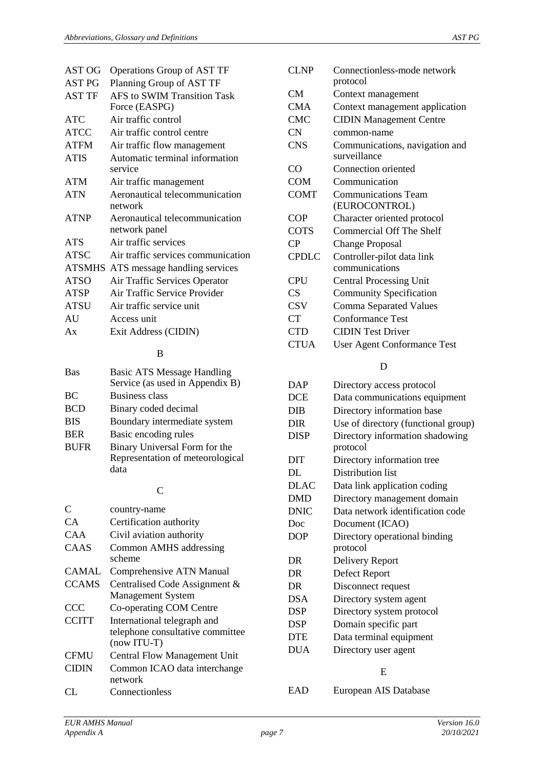| AST OG        | Operations Group of AST TF                      |
|---------------|-------------------------------------------------|
| <b>AST PG</b> | Planning Group of AST TF                        |
| <b>AST TF</b> | AFS to SWIM Transition Task<br>Force (EASPG)    |
| <b>ATC</b>    | Air traffic control                             |
| <b>ATCC</b>   | Air traffic control centre                      |
| <b>ATFM</b>   | Air traffic flow management                     |
| <b>ATIS</b>   | Automatic terminal information<br>service       |
| <b>ATM</b>    | Air traffic management                          |
| ATN           | Aeronautical telecommunication<br>network       |
| <b>ATNP</b>   | Aeronautical telecommunication<br>network panel |
| <b>ATS</b>    | Air traffic services                            |
| <b>ATSC</b>   | Air traffic services communication              |
|               | ATSMHS ATS message handling services            |
| <b>ATSO</b>   | Air Traffic Services Operator                   |
| <b>ATSP</b>   | Air Traffic Service Provider                    |
| <b>ATSU</b>   | Air traffic service unit                        |
| AU            | Access unit                                     |
| Ax            | Exit Address (CIDIN)                            |

#### B

| <b>Bas</b>  | <b>Basic ATS Message Handling</b><br>Service (as used in Appendix B) |
|-------------|----------------------------------------------------------------------|
| BC          | <b>Business class</b>                                                |
| <b>BCD</b>  | Binary coded decimal                                                 |
| <b>BIS</b>  | Boundary intermediate system                                         |
| <b>BER</b>  | Basic encoding rules                                                 |
| <b>BUFR</b> | Binary Universal Form for the                                        |
|             | Representation of meteorological                                     |
|             | data                                                                 |

#### C

| C            | country-name                                                                     |
|--------------|----------------------------------------------------------------------------------|
| CA.          | Certification authority                                                          |
| CAA          | Civil aviation authority                                                         |
| CAAS         | Common AMHS addressing<br>scheme                                                 |
| CAMAL        | Comprehensive ATN Manual                                                         |
| <b>CCAMS</b> | Centralised Code Assignment &<br><b>Management System</b>                        |
| <b>CCC</b>   | Co-operating COM Centre                                                          |
| <b>CCITT</b> | International telegraph and<br>telephone consultative committee<br>$(now ITU-T)$ |
| <b>CFMU</b>  | <b>Central Flow Management Unit</b>                                              |
| <b>CIDIN</b> | Common ICAO data interchange<br>network                                          |
|              | Connectionless                                                                   |

| CLNP         | Connectionless-mode network                    |
|--------------|------------------------------------------------|
|              | protocol                                       |
| <b>CM</b>    | Context management                             |
| CMA          | Context management application                 |
| <b>CMC</b>   | <b>CIDIN Management Centre</b>                 |
| <b>CN</b>    | common-name                                    |
| <b>CNS</b>   | Communications, navigation and<br>surveillance |
| CO           | Connection oriented                            |
| <b>COM</b>   | Communication                                  |
| <b>COMT</b>  | Communications Team                            |
|              | (EUROCONTROL)                                  |
| <b>COP</b>   | Character oriented protocol                    |
| <b>COTS</b>  | <b>Commercial Off The Shelf</b>                |
| CP           | <b>Change Proposal</b>                         |
| <b>CPDLC</b> | Controller-pilot data link                     |
|              | communications                                 |
| CPU          | <b>Central Processing Unit</b>                 |
| CS           | <b>Community Specification</b>                 |
| <b>CSV</b>   | <b>Comma Separated Values</b>                  |
| CT           | <b>Conformance Test</b>                        |
| <b>CTD</b>   | <b>CIDIN Test Driver</b>                       |
| <b>CTUA</b>  | <b>User Agent Conformance Test</b>             |

#### D

| <b>DAP</b>  | Directory access protocol           |
|-------------|-------------------------------------|
| <b>DCE</b>  | Data communications equipment       |
| <b>DIB</b>  | Directory information base          |
| <b>DIR</b>  | Use of directory (functional group) |
| <b>DISP</b> | Directory information shadowing     |
|             | protocol                            |
| DIT         | Directory information tree          |
| DL          | Distribution list                   |
| <b>DLAC</b> | Data link application coding        |
| <b>DMD</b>  | Directory management domain         |
| <b>DNIC</b> | Data network identification code    |
| Doc         | Document (ICAO)                     |
| <b>DOP</b>  | Directory operational binding       |
|             | protocol                            |
| DR.         | Delivery Report                     |
| DR          | Defect Report                       |
| DR          | Disconnect request                  |
| <b>DSA</b>  | Directory system agent              |
| DSP         | Directory system protocol           |
| <b>DSP</b>  | Domain specific part                |
| <b>DTE</b>  | Data terminal equipment             |
| <b>DUA</b>  | Directory user agent                |
|             | Е                                   |

EAD European AIS Database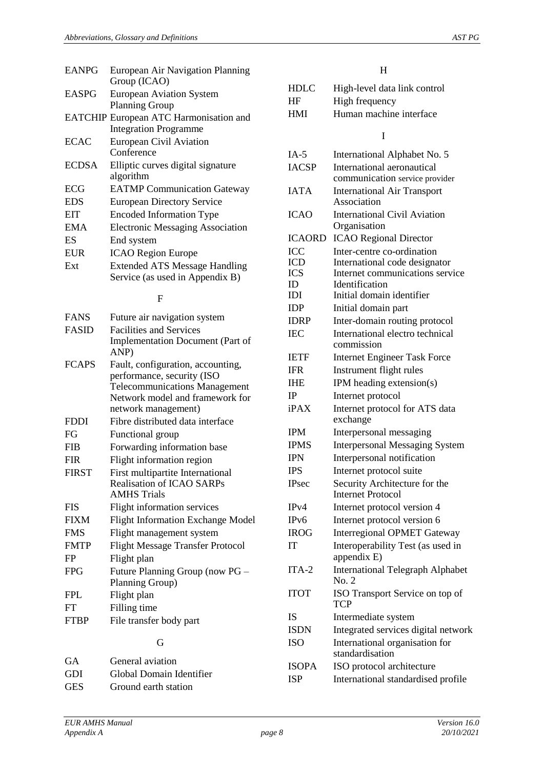| <b>EANPG</b> | European Air Navigation Planning        |
|--------------|-----------------------------------------|
|              | Group (ICAO)                            |
| <b>EASPG</b> | <b>European Aviation System</b>         |
|              | <b>Planning Group</b>                   |
|              | EATCHIP European ATC Harmonisation and  |
|              | <b>Integration Programme</b>            |
| <b>ECAC</b>  | <b>European Civil Aviation</b>          |
|              | Conference                              |
| <b>ECDSA</b> | Elliptic curves digital signature       |
|              | algorithm                               |
| ECG          | <b>EATMP</b> Communication Gateway      |
| <b>EDS</b>   | <b>European Directory Service</b>       |
| <b>EIT</b>   | <b>Encoded Information Type</b>         |
| <b>EMA</b>   | <b>Electronic Messaging Association</b> |
| ES           | End system                              |
| <b>EUR</b>   | <b>ICAO Region Europe</b>               |
| Ext          | <b>Extended ATS Message Handling</b>    |
|              | Service (as used in Appendix B)         |

#### F

| <b>FANS</b><br><b>FASID</b> | Future air navigation system<br><b>Facilities and Services</b>                                                                                                    |  |
|-----------------------------|-------------------------------------------------------------------------------------------------------------------------------------------------------------------|--|
|                             | Implementation Document (Part of<br>ANP)                                                                                                                          |  |
| <b>FCAPS</b>                | Fault, configuration, accounting,<br>performance, security (ISO<br><b>Telecommunications Management</b><br>Network model and framework for<br>network management) |  |
| <b>FDDI</b>                 | Fibre distributed data interface                                                                                                                                  |  |
| FG                          | Functional group                                                                                                                                                  |  |
| <b>FIB</b>                  | Forwarding information base                                                                                                                                       |  |
| <b>FIR</b>                  | Flight information region                                                                                                                                         |  |
| <b>FIRST</b>                | First multipartite International<br><b>Realisation of ICAO SARPs</b><br><b>AMHS Trials</b>                                                                        |  |
| <b>FIS</b>                  | Flight information services                                                                                                                                       |  |
| <b>FIXM</b>                 | <b>Flight Information Exchange Model</b>                                                                                                                          |  |
| <b>FMS</b>                  | Flight management system                                                                                                                                          |  |
| <b>FMTP</b>                 | <b>Flight Message Transfer Protocol</b>                                                                                                                           |  |
| FP                          | Flight plan                                                                                                                                                       |  |
| <b>FPG</b>                  | Future Planning Group (now PG –<br>Planning Group)                                                                                                                |  |
| <b>FPL</b>                  | Flight plan                                                                                                                                                       |  |
| FT                          | Filling time                                                                                                                                                      |  |
| <b>FTBP</b>                 | File transfer body part                                                                                                                                           |  |
| G                           |                                                                                                                                                                   |  |

| GA         | General aviation         |
|------------|--------------------------|
| GDI        | Global Domain Identifier |
| <b>GES</b> | Ground earth station     |

#### H

| <b>HDLC</b> | High-level data link control |
|-------------|------------------------------|
| HF          | High frequency               |
| HMI         | Human machine interface      |
|             |                              |

#### I

| $IA-5$            | International Alphabet No. 5                     |
|-------------------|--------------------------------------------------|
| <b>IACSP</b>      | International aeronautical                       |
|                   | communication service provider                   |
| <b>IATA</b>       | <b>International Air Transport</b>               |
|                   | Association                                      |
| <b>ICAO</b>       | <b>International Civil Aviation</b>              |
|                   | Organisation                                     |
| <b>ICAORD</b>     | <b>ICAO Regional Director</b>                    |
| ICC               | Inter-centre co-ordination                       |
| <b>ICD</b>        | International code designator                    |
| <b>ICS</b>        | Internet communications service                  |
| ID                | Identification                                   |
| IDI               | Initial domain identifier                        |
| IDP               | Initial domain part                              |
| <b>IDRP</b>       | Inter-domain routing protocol                    |
| <b>IEC</b>        | International electro technical                  |
|                   | commission                                       |
| <b>IETF</b>       | <b>Internet Engineer Task Force</b>              |
| <b>IFR</b>        | Instrument flight rules                          |
| <b>IHE</b>        | IPM heading extension(s)                         |
| IP                | Internet protocol                                |
| iPAX              | Internet protocol for ATS data                   |
|                   | exchange                                         |
| <b>IPM</b>        | Interpersonal messaging                          |
| <b>IPMS</b>       | <b>Interpersonal Messaging System</b>            |
| <b>IPN</b>        | Interpersonal notification                       |
| <b>IPS</b>        | Internet protocol suite                          |
| <b>IPsec</b>      | Security Architecture for the                    |
|                   | <b>Internet Protocol</b>                         |
| IPv4              | Internet protocol version 4                      |
| IP <sub>v</sub> 6 | Internet protocol version 6                      |
| <b>IROG</b>       | <b>Interregional OPMET Gateway</b>               |
| IT                | Interoperability Test (as used in<br>appendix E) |
| $ITA-2$           | <b>International Telegraph Alphabet</b><br>No. 2 |
| <b>ITOT</b>       | ISO Transport Service on top of<br>TCP           |
| <b>IS</b>         | Intermediate system                              |
| <b>ISDN</b>       | Integrated services digital network              |
| <b>ISO</b>        | International organisation for                   |
|                   | standardisation                                  |
| <b>ISOPA</b>      | ISO protocol architecture                        |
| <b>ISP</b>        | International standardised profile               |
|                   |                                                  |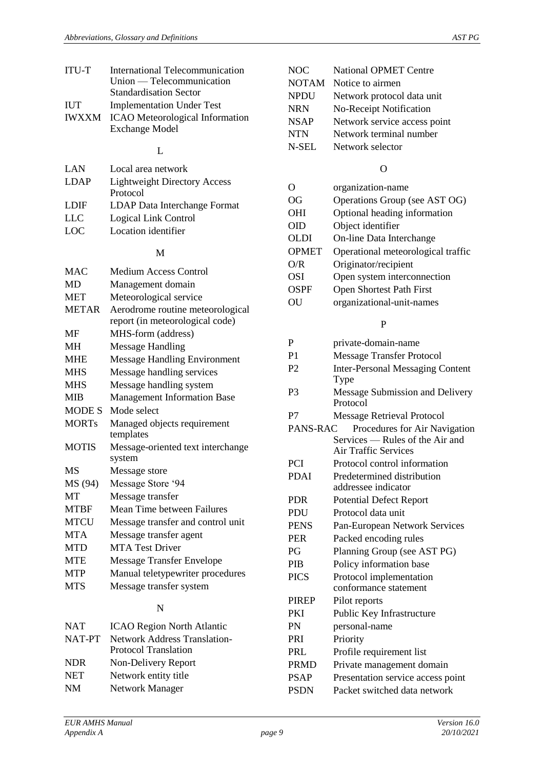| <b>International Telecommunication</b>       |  |  |  |
|----------------------------------------------|--|--|--|
| Union — Telecommunication                    |  |  |  |
| <b>Standardisation Sector</b>                |  |  |  |
| <b>Implementation Under Test</b>             |  |  |  |
| <b>IWXXM</b> ICAO Meteorological Information |  |  |  |
| <b>Exchange Model</b>                        |  |  |  |
|                                              |  |  |  |
|                                              |  |  |  |

#### L

| LAN         | Local area network                  |  |
|-------------|-------------------------------------|--|
| <b>LDAP</b> | <b>Lightweight Directory Access</b> |  |
|             | Protocol                            |  |
| <b>LDIF</b> | <b>LDAP</b> Data Interchange Format |  |
| <b>LLC</b>  | Logical Link Control                |  |
| LOC.        | Location identifier                 |  |

#### M

| <b>MAC</b>    | <b>Medium Access Control</b>        |  |  |
|---------------|-------------------------------------|--|--|
| MD            | Management domain                   |  |  |
| <b>MET</b>    | Meteorological service              |  |  |
| <b>METAR</b>  | Aerodrome routine meteorological    |  |  |
|               | report (in meteorological code)     |  |  |
| MF            | MHS-form (address)                  |  |  |
| MН            | <b>Message Handling</b>             |  |  |
| <b>MHE</b>    | <b>Message Handling Environment</b> |  |  |
| <b>MHS</b>    | Message handling services           |  |  |
| <b>MHS</b>    | Message handling system             |  |  |
| <b>MIB</b>    | <b>Management Information Base</b>  |  |  |
| <b>MODE S</b> | Mode select                         |  |  |
| <b>MORTs</b>  | Managed objects requirement         |  |  |
|               | templates                           |  |  |
| <b>MOTIS</b>  | Message-oriented text interchange   |  |  |
|               | system                              |  |  |
| MS            | Message store                       |  |  |
| MS (94)       | Message Store '94                   |  |  |
| <b>MT</b>     | Message transfer                    |  |  |
| <b>MTBF</b>   | Mean Time between Failures          |  |  |
| <b>MTCU</b>   | Message transfer and control unit   |  |  |
| <b>MTA</b>    | Message transfer agent              |  |  |
| <b>MTD</b>    | <b>MTA Test Driver</b>              |  |  |
| <b>MTE</b>    | <b>Message Transfer Envelope</b>    |  |  |
| <b>MTP</b>    | Manual teletypewriter procedures    |  |  |
| <b>MTS</b>    | Message transfer system             |  |  |
|               |                                     |  |  |

#### N

| <b>NAT</b> | <b>ICAO Region North Atlantic</b>   |
|------------|-------------------------------------|
| NAT-PT     | <b>Network Address Translation-</b> |
|            | <b>Protocol Translation</b>         |
| <b>NDR</b> | Non-Delivery Report                 |
| <b>NET</b> | Network entity title                |
| <b>NM</b>  | <b>Network Manager</b>              |
|            |                                     |

| NOC          | <b>National OPMET Centre</b> |
|--------------|------------------------------|
| <b>NOTAM</b> | Notice to airmen             |
| <b>NPDU</b>  | Network protocol data unit   |
| <b>NRN</b>   | No-Receipt Notification      |
| <b>NSAP</b>  | Network service access point |
| <b>NTN</b>   | Network terminal number      |
| N-SEL        | Network selector             |
|              |                              |

#### O

| $\cap$       | organization-name                  |  |  |
|--------------|------------------------------------|--|--|
| OG           | Operations Group (see AST OG)      |  |  |
| OHI          | Optional heading information       |  |  |
| <b>OID</b>   | Object identifier                  |  |  |
| OLDI         | On-line Data Interchange           |  |  |
| <b>OPMET</b> | Operational meteorological traffic |  |  |
| O/R          | Originator/recipient               |  |  |
| OSI          | Open system interconnection        |  |  |
| OSPF         | <b>Open Shortest Path First</b>    |  |  |
| OU           | organizational-unit-names          |  |  |
|              | р                                  |  |  |

| P              | private-domain-name                     |  |  |
|----------------|-----------------------------------------|--|--|
| P <sub>1</sub> | <b>Message Transfer Protocol</b>        |  |  |
| P <sub>2</sub> | <b>Inter-Personal Messaging Content</b> |  |  |
|                | Type                                    |  |  |
| P <sub>3</sub> | Message Submission and Delivery         |  |  |
|                | Protocol                                |  |  |
| P7             | <b>Message Retrieval Protocol</b>       |  |  |
| PANS-RAC       | Procedures for Air Navigation           |  |  |
|                | Services — Rules of the Air and         |  |  |
|                | <b>Air Traffic Services</b>             |  |  |
| <b>PCI</b>     | Protocol control information            |  |  |
| <b>PDAI</b>    | Predetermined distribution              |  |  |
|                | addressee indicator                     |  |  |
| <b>PDR</b>     | <b>Potential Defect Report</b>          |  |  |
| PDU            | Protocol data unit                      |  |  |
| <b>PENS</b>    | Pan-European Network Services           |  |  |
| <b>PER</b>     | Packed encoding rules                   |  |  |
| P <sub>G</sub> | Planning Group (see AST PG)             |  |  |
| <b>PIB</b>     | Policy information base                 |  |  |
| <b>PICS</b>    | Protocol implementation                 |  |  |
|                | conformance statement                   |  |  |
| <b>PIREP</b>   | Pilot reports                           |  |  |
| <b>PKI</b>     | Public Key Infrastructure               |  |  |
| PN             | personal-name                           |  |  |
| <b>PRI</b>     | Priority                                |  |  |
| <b>PRL</b>     | Profile requirement list                |  |  |
| <b>PRMD</b>    | Private management domain               |  |  |
| <b>PSAP</b>    | Presentation service access point       |  |  |
| <b>PSDN</b>    | Packet switched data network            |  |  |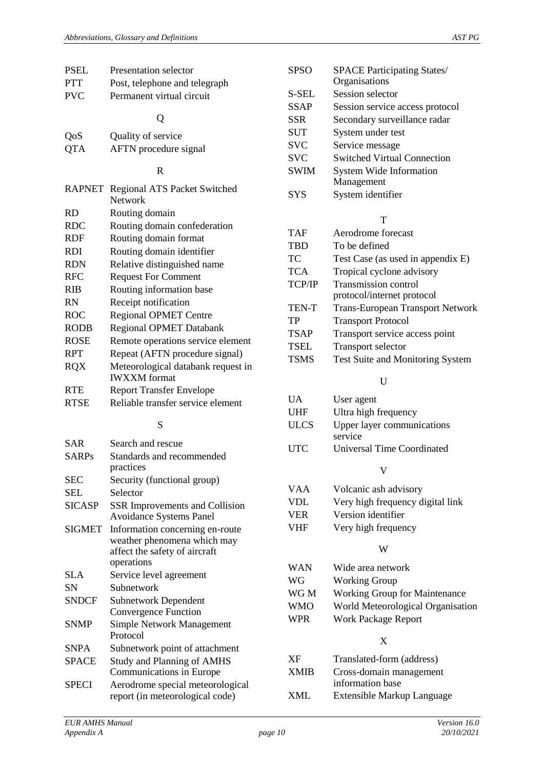| PSEL          | Presentation selector                                          | <b>SPSO</b> | <b>SPACE Participating States/</b>      |
|---------------|----------------------------------------------------------------|-------------|-----------------------------------------|
| PTT           | Post, telephone and telegraph                                  |             | Organisations                           |
| <b>PVC</b>    | Permanent virtual circuit                                      | S-SEL       | Session selector                        |
|               |                                                                | <b>SSAP</b> | Session service access protocol         |
|               | Q                                                              | <b>SSR</b>  | Secondary surveillance radar            |
| QoS           | Quality of service                                             | <b>SUT</b>  | System under test                       |
| QTA           | AFTN procedure signal                                          | <b>SVC</b>  | Service message                         |
|               |                                                                | <b>SVC</b>  | <b>Switched Virtual Connection</b>      |
|               | $\mathbf R$                                                    | <b>SWIM</b> | System Wide Information<br>Management   |
|               | RAPNET Regional ATS Packet Switched<br>Network                 | <b>SYS</b>  | System identifier                       |
| RD            | Routing domain                                                 |             |                                         |
| <b>RDC</b>    | Routing domain confederation                                   |             | T                                       |
| RDF           | Routing domain format                                          | <b>TAF</b>  | Aerodrome forecast                      |
| <b>RDI</b>    | Routing domain identifier                                      | <b>TBD</b>  | To be defined                           |
| <b>RDN</b>    | Relative distinguished name                                    | TC          | Test Case (as used in appendix E)       |
| RFC           | <b>Request For Comment</b>                                     | <b>TCA</b>  | Tropical cyclone advisory               |
| RIB           | Routing information base                                       | TCP/IP      | Transmission control                    |
| RN            | Receipt notification                                           |             | protocol/internet protocol              |
| ROC           | <b>Regional OPMET Centre</b>                                   | TEN-T       | <b>Trans-European Transport Network</b> |
| RODB          | <b>Regional OPMET Databank</b>                                 | <b>TP</b>   | <b>Transport Protocol</b>               |
| <b>ROSE</b>   | Remote operations service element                              | <b>TSAP</b> | Transport service access point          |
| RPT           | Repeat (AFTN procedure signal)                                 | <b>TSEL</b> | Transport selector                      |
| RQX           | Meteorological databank request in                             | <b>TSMS</b> | Test Suite and Monitoring System        |
|               | <b>IWXXM</b> format                                            |             | U                                       |
| RTE           | <b>Report Transfer Envelope</b>                                | <b>UA</b>   | User agent                              |
| RTSE          | Reliable transfer service element                              | <b>UHF</b>  | Ultra high frequency                    |
|               | S                                                              | <b>ULCS</b> | Upper layer communications<br>service   |
| <b>SAR</b>    | Search and rescue                                              | <b>UTC</b>  | <b>Universal Time Coordinated</b>       |
| <b>SARPs</b>  | Standards and recommended<br>practices                         |             | V                                       |
| SEC           | Security (functional group)                                    |             |                                         |
| SEL           | Selector                                                       | <b>VAA</b>  | Volcanic ash advisory                   |
| <b>SICASP</b> | <b>SSR Improvements and Collision</b>                          | <b>VDL</b>  | Very high frequency digital link        |
|               | <b>Avoidance Systems Panel</b>                                 | <b>VER</b>  | Version identifier                      |
| SIGMET        | Information concerning en-route<br>weather phenomena which may | <b>VHF</b>  | Very high frequency                     |
|               | affect the safety of aircraft<br>operations                    |             | W                                       |
| SLA           | Service level agreement                                        | <b>WAN</b>  | Wide area network                       |
| SN            | Subnetwork                                                     | WG          | <b>Working Group</b>                    |
| <b>SNDCF</b>  | <b>Subnetwork Dependent</b>                                    | WG M        | Working Group for Maintenance           |
|               | Convergence Function                                           | <b>WMO</b>  | World Meteorological Organisation       |
| <b>SNMP</b>   | <b>Simple Network Management</b>                               | <b>WPR</b>  | <b>Work Package Report</b>              |
|               | Protocol                                                       |             | X                                       |
| SNPA          | Subnetwork point of attachment                                 | <b>XF</b>   | Translated-form (address)               |
| <b>SPACE</b>  | <b>Study and Planning of AMHS</b><br>Communications in Europe  | <b>XMIB</b> | Cross-domain management                 |
| SPECI         | Aerodrome special meteorological                               |             | information base                        |
|               | report (in meteorological code)                                | <b>XML</b>  | Extensible Markup Language              |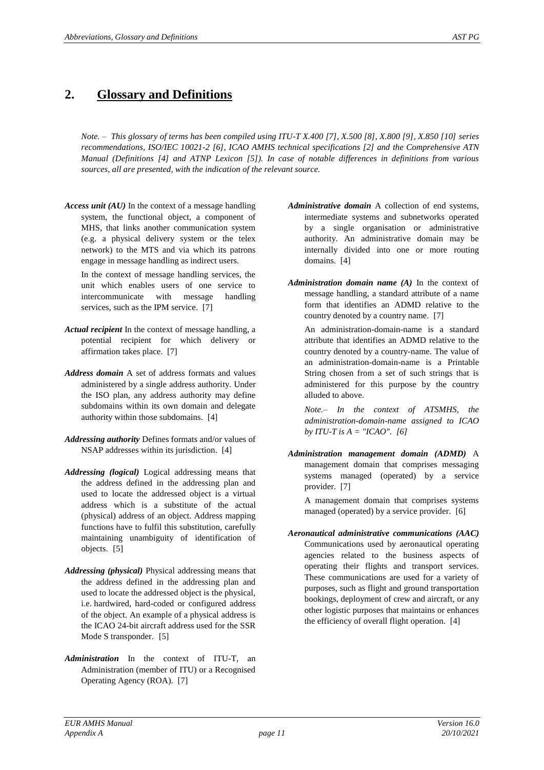### **2. Glossary and Definitions**

*Note. – This glossary of terms has been compiled using ITU-T X.400 [\[7\]](#page-4-0), X.500 [\[8\]](#page-4-1), X.800 [\[9\]](#page-4-2), X.850 [\[10\]](#page-4-3) series recommendations, ISO/IEC 10021-2 [\[6\]](#page-4-4), ICAO AMHS technical specifications [\[2\]](#page-4-5) and the Comprehensive ATN Manual (Definitions [\[4\]](#page-4-6) and ATNP Lexicon [\[5\]](#page-4-7)). In case of notable differences in definitions from various sources, all are presented, with the indication of the relevant source.*

*Access unit (AU)* In the context of a message handling system, the functional object, a component of MHS, that links another communication system (e.g. a physical delivery system or the telex network) to the MTS and via which its patrons engage in message handling as indirect users.

In the context of message handling services, the unit which enables users of one service to intercommunicate with message handling services, such as the IPM service. [\[7\]](#page-4-0)

- *Actual recipient* In the context of message handling, a potential recipient for which delivery or affirmation takes place. [\[7\]](#page-4-0)
- *Address domain* A set of address formats and values administered by a single address authority. Under the ISO plan, any address authority may define subdomains within its own domain and delegate authority within those subdomains. [\[4\]](#page-4-6)
- *Addressing authority* Defines formats and/or values of NSAP addresses within its jurisdiction. [\[4\]](#page-4-6)
- *Addressing (logical)* Logical addressing means that the address defined in the addressing plan and used to locate the addressed object is a virtual address which is a substitute of the actual (physical) address of an object. Address mapping functions have to fulfil this substitution, carefully maintaining unambiguity of identification of objects. [\[5\]](#page-4-7)
- *Addressing (physical)* Physical addressing means that the address defined in the addressing plan and used to locate the addressed object is the physical, i.e. hardwired, hard-coded or configured address of the object. An example of a physical address is the ICAO 24-bit aircraft address used for the SSR Mode S transponder. [\[5\]](#page-4-7)
- *Administration* In the context of ITU-T, an Administration (member of ITU) or a Recognised Operating Agency (ROA). [\[7\]](#page-4-0)
- *Administrative domain* A collection of end systems, intermediate systems and subnetworks operated by a single organisation or administrative authority. An administrative domain may be internally divided into one or more routing domains. [\[4\]](#page-4-6)
- *Administration domain name (A)* In the context of message handling, a standard attribute of a name form that identifies an ADMD relative to the country denoted by a country name. [\[7\]](#page-4-0)

An administration-domain-name is a standard attribute that identifies an ADMD relative to the country denoted by a country-name. The value of an administration-domain-name is a Printable String chosen from a set of such strings that is administered for this purpose by the country alluded to above.

*Note.– In the context of ATSMHS, the administration-domain-name assigned to ICAO by ITU-T is*  $A = "ICAO".$  *[\[6\]](#page-4-4)* 

*Administration management domain (ADMD)* A management domain that comprises messaging systems managed (operated) by a service provider. [\[7\]](#page-4-0)

A management domain that comprises systems managed (operated) by a service provider. [\[6\]](#page-4-4)

*Aeronautical administrative communications (AAC)* Communications used by aeronautical operating agencies related to the business aspects of operating their flights and transport services. These communications are used for a variety of purposes, such as flight and ground transportation bookings, deployment of crew and aircraft, or any other logistic purposes that maintains or enhances the efficiency of overall flight operation. [\[4\]](#page-4-6)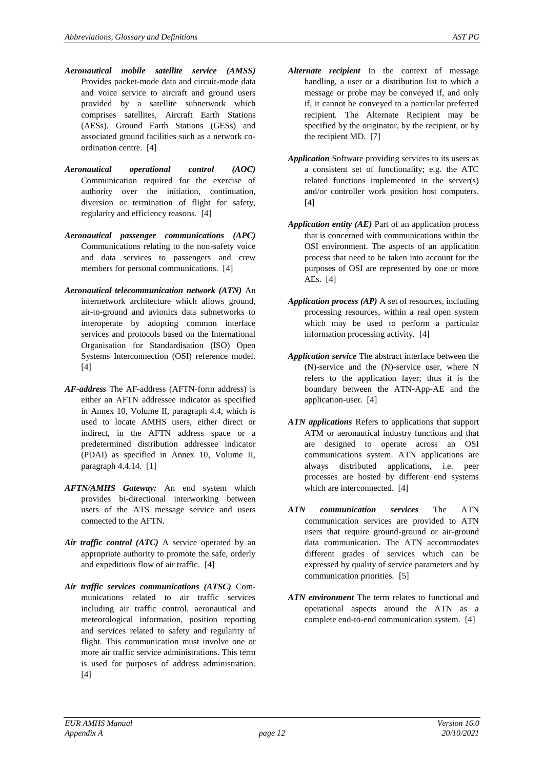- *Aeronautical mobile satellite service (AMSS)* Provides packet-mode data and circuit-mode data and voice service to aircraft and ground users provided by a satellite subnetwork which comprises satellites, Aircraft Earth Stations (AESs), Ground Earth Stations (GESs) and associated ground facilities such as a network coordination centre. [\[4\]](#page-4-6)
- *Aeronautical operational control (AOC)* Communication required for the exercise of authority over the initiation, continuation, diversion or termination of flight for safety, regularity and efficiency reasons. [\[4\]](#page-4-6)
- *Aeronautical passenger communications (APC)* Communications relating to the non-safety voice and data services to passengers and crew members for personal communications. [\[4\]](#page-4-6)
- *Aeronautical telecommunication network (ATN)* An internetwork architecture which allows ground, air-to-ground and avionics data subnetworks to interoperate by adopting common interface services and protocols based on the International Organisation for Standardisation (ISO) Open Systems Interconnection (OSI) reference model. [\[4\]](#page-4-6)
- *AF-address* The AF-address (AFTN-form address) is either an AFTN addressee indicator as specified in Annex 10, Volume II, paragraph 4.4, which is used to locate AMHS users, either direct or indirect, in the AFTN address space or a predetermined distribution addressee indicator (PDAI) as specified in Annex 10, Volume II, paragraph 4.4.14. [\[1\]](#page-4-8)
- *AFTN/AMHS Gateway:* An end system which provides bi-directional interworking between users of the ATS message service and users connected to the AFTN.
- *Air traffic control (ATC)* A service operated by an appropriate authority to promote the safe, orderly and expeditious flow of air traffic. [\[4\]](#page-4-6)
- *Air traffic services communications (ATSC)* Communications related to air traffic services including air traffic control, aeronautical and meteorological information, position reporting and services related to safety and regularity of flight. This communication must involve one or more air traffic service administrations. This term is used for purposes of address administration. [\[4\]](#page-4-6)
- *Alternate recipient* In the context of message handling, a user or a distribution list to which a message or probe may be conveyed if, and only if, it cannot be conveyed to a particular preferred recipient. The Alternate Recipient may be specified by the originator, by the recipient, or by the recipient MD. [\[7\]](#page-4-0)
- *Application* Software providing services to its users as a consistent set of functionality; e.g. the ATC related functions implemented in the server(s) and/or controller work position host computers. [\[4\]](#page-4-6)
- *Application entity (AE)* Part of an application process that is concerned with communications within the OSI environment. The aspects of an application process that need to be taken into account for the purposes of OSI are represented by one or more AEs. [\[4\]](#page-4-6)
- *Application process (AP)* A set of resources, including processing resources, within a real open system which may be used to perform a particular information processing activity. [\[4\]](#page-4-6)
- *Application service* The abstract interface between the (N)-service and the (N)-service user, where N refers to the application layer; thus it is the boundary between the ATN-App-AE and the application-user. [\[4\]](#page-4-6)
- *ATN applications* Refers to applications that support ATM or aeronautical industry functions and that are designed to operate across an OSI communications system. ATN applications are always distributed applications, i.e. peer processes are hosted by different end systems which are interconnected. [\[4\]](#page-4-6)
- *ATN communication services* The ATN communication services are provided to ATN users that require ground-ground or air-ground data communication. The ATN accommodates different grades of services which can be expressed by quality of service parameters and by communication priorities. [\[5\]](#page-4-7)
- *ATN environment* The term relates to functional and operational aspects around the ATN as a complete end-to-end communication system. [\[4\]](#page-4-6)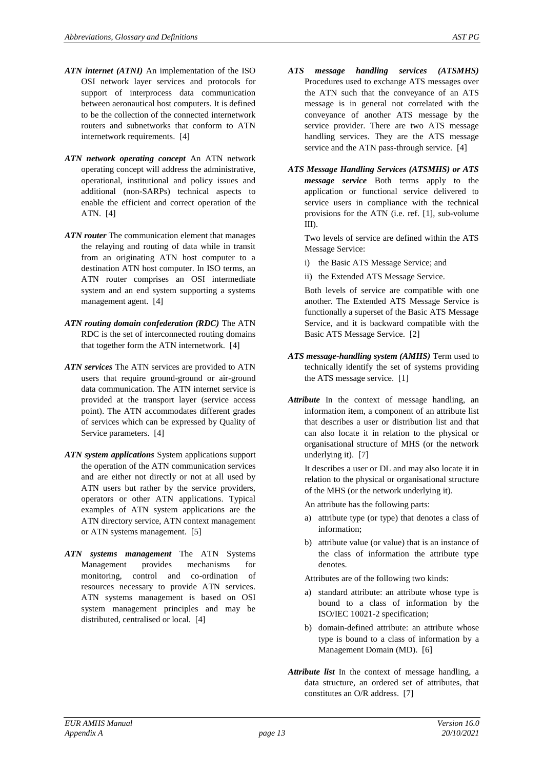- *ATN internet (ATNI)* An implementation of the ISO OSI network layer services and protocols for support of interprocess data communication between aeronautical host computers. It is defined to be the collection of the connected internetwork routers and subnetworks that conform to ATN internetwork requirements. [\[4\]](#page-4-6)
- *ATN network operating concept* An ATN network operating concept will address the administrative, operational, institutional and policy issues and additional (non-SARPs) technical aspects to enable the efficient and correct operation of the ATN. [\[4\]](#page-4-6)
- *ATN router* The communication element that manages the relaying and routing of data while in transit from an originating ATN host computer to a destination ATN host computer. In ISO terms, an ATN router comprises an OSI intermediate system and an end system supporting a systems management agent. [\[4\]](#page-4-6)
- *ATN routing domain confederation (RDC)* The ATN RDC is the set of interconnected routing domains that together form the ATN internetwork. [\[4\]](#page-4-6)
- *ATN services* The ATN services are provided to ATN users that require ground-ground or air-ground data communication. The ATN internet service is provided at the transport layer (service access point). The ATN accommodates different grades of services which can be expressed by Quality of Service parameters. [\[4\]](#page-4-6)
- *ATN system applications* System applications support the operation of the ATN communication services and are either not directly or not at all used by ATN users but rather by the service providers, operators or other ATN applications. Typical examples of ATN system applications are the ATN directory service, ATN context management or ATN systems management. [\[5\]](#page-4-7)
- *ATN systems management* The ATN Systems Management provides mechanisms for monitoring, control and co-ordination of resources necessary to provide ATN services. ATN systems management is based on OSI system management principles and may be distributed, centralised or local. [\[4\]](#page-4-6)
- *ATS message handling services (ATSMHS)* Procedures used to exchange ATS messages over the ATN such that the conveyance of an ATS message is in general not correlated with the conveyance of another ATS message by the service provider. There are two ATS message handling services. They are the ATS message service and the ATN pass-through service. [\[4\]](#page-4-6)
- *ATS Message Handling Services (ATSMHS) or ATS message service* Both terms apply to the application or functional service delivered to service users in compliance with the technical provisions for the ATN (i.e. ref. [\[1\]](#page-4-8), sub-volume III).

Two levels of service are defined within the ATS Message Service:

- i) the Basic ATS Message Service; and
- ii) the Extended ATS Message Service.

Both levels of service are compatible with one another. The Extended ATS Message Service is functionally a superset of the Basic ATS Message Service, and it is backward compatible with the Basic ATS Message Service. [\[2\]](#page-4-5)

- *ATS message-handling system (AMHS)* Term used to technically identify the set of systems providing the ATS message service. [\[1\]](#page-4-8)
- *Attribute* In the context of message handling, an information item, a component of an attribute list that describes a user or distribution list and that can also locate it in relation to the physical or organisational structure of MHS (or the network underlying it). [\[7\]](#page-4-0)

It describes a user or DL and may also locate it in relation to the physical or organisational structure of the MHS (or the network underlying it).

- An attribute has the following parts:
- a) attribute type (or type) that denotes a class of information;
- b) attribute value (or value) that is an instance of the class of information the attribute type denotes.

Attributes are of the following two kinds:

- a) standard attribute: an attribute whose type is bound to a class of information by the ISO/IEC 10021-2 specification;
- b) domain-defined attribute: an attribute whose type is bound to a class of information by a Management Domain (MD). [\[6\]](#page-4-4)
- *Attribute list* In the context of message handling, a data structure, an ordered set of attributes, that constitutes an O/R address. [\[7\]](#page-4-0)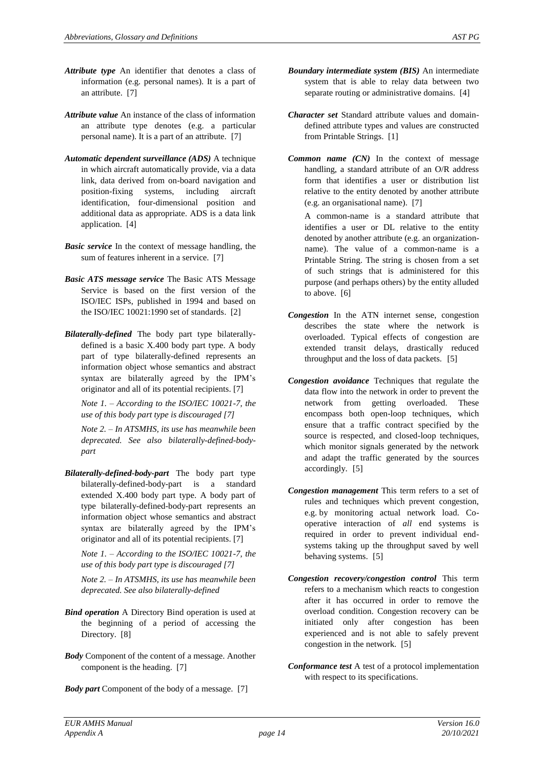- *Attribute type* An identifier that denotes a class of information (e.g. personal names). It is a part of an attribute. [\[7\]](#page-4-0)
- *Attribute value* An instance of the class of information an attribute type denotes (e.g. a particular personal name). It is a part of an attribute. [\[7\]](#page-4-0)
- *Automatic dependent surveillance (ADS)* A technique in which aircraft automatically provide, via a data link, data derived from on-board navigation and position-fixing systems, including aircraft identification, four-dimensional position and additional data as appropriate. ADS is a data link application. [\[4\]](#page-4-6)
- *Basic service* In the context of message handling, the sum of features inherent in a service. [\[7\]](#page-4-0)
- *Basic ATS message service* The Basic ATS Message Service is based on the first version of the ISO/IEC ISPs, published in 1994 and based on the ISO/IEC 10021:1990 set of standards. [\[2\]](#page-4-5)
- *Bilaterally-defined* The body part type bilaterallydefined is a basic X.400 body part type. A body part of type bilaterally-defined represents an information object whose semantics and abstract syntax are bilaterally agreed by the IPM's originator and all of its potential recipients. [7]

*Note 1. – According to the ISO/IEC 10021-7, the use of this body part type is discouraged [7]*

*Note 2. – In ATSMHS, its use has meanwhile been deprecated. See also bilaterally-defined-bodypart*

*Bilaterally-defined-body-part* The body part type bilaterally-defined-body-part is a standard extended X.400 body part type. A body part of type bilaterally-defined-body-part represents an information object whose semantics and abstract syntax are bilaterally agreed by the IPM's originator and all of its potential recipients. [7]

*Note 1. – According to the ISO/IEC 10021-7, the use of this body part type is discouraged [7]*

*Note 2. – In ATSMHS, its use has meanwhile been deprecated. See also bilaterally-defined*

- *Bind operation* A Directory Bind operation is used at the beginning of a period of accessing the Directory. [\[8\]](#page-4-1)
- *Body* Component of the content of a message. Another component is the heading. [\[7\]](#page-4-0)
- *Body part* Component of the body of a message. [\[7\]](#page-4-0)
- *Boundary intermediate system (BIS)* An intermediate system that is able to relay data between two separate routing or administrative domains. [\[4\]](#page-4-6)
- *Character set* Standard attribute values and domaindefined attribute types and values are constructed from Printable Strings. [\[1\]](#page-4-8)
- *Common name (CN)* In the context of message handling, a standard attribute of an O/R address form that identifies a user or distribution list relative to the entity denoted by another attribute (e.g. an organisational name). [\[7\]](#page-4-0)

A common-name is a standard attribute that identifies a user or DL relative to the entity denoted by another attribute (e.g. an organizationname). The value of a common-name is a Printable String. The string is chosen from a set of such strings that is administered for this purpose (and perhaps others) by the entity alluded to above. [\[6\]](#page-4-4)

- *Congestion* In the ATN internet sense, congestion describes the state where the network is overloaded. Typical effects of congestion are extended transit delays, drastically reduced throughput and the loss of data packets. [\[5\]](#page-4-7)
- *Congestion avoidance* Techniques that regulate the data flow into the network in order to prevent the network from getting overloaded. These encompass both open-loop techniques, which ensure that a traffic contract specified by the source is respected, and closed-loop techniques, which monitor signals generated by the network and adapt the traffic generated by the sources accordingly. [\[5\]](#page-4-7)
- *Congestion management* This term refers to a set of rules and techniques which prevent congestion, e.g. by monitoring actual network load. Cooperative interaction of *all* end systems is required in order to prevent individual endsystems taking up the throughput saved by well behaving systems. [\[5\]](#page-4-7)
- *Congestion recovery/congestion control* This term refers to a mechanism which reacts to congestion after it has occurred in order to remove the overload condition. Congestion recovery can be initiated only after congestion has been experienced and is not able to safely prevent congestion in the network. [\[5\]](#page-4-7)
- *Conformance test* A test of a protocol implementation with respect to its specifications.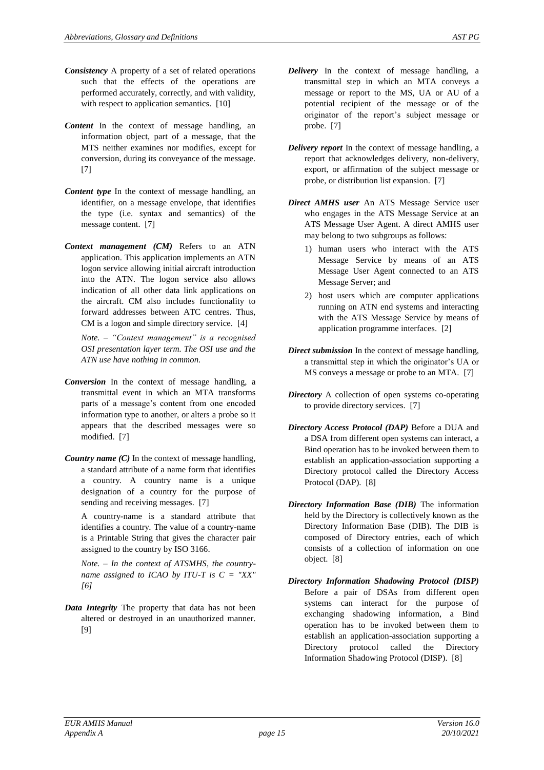- *Consistency* A property of a set of related operations such that the effects of the operations are performed accurately, correctly, and with validity, with respect to application semantics. [\[10\]](#page-4-3)
- *Content* In the context of message handling, an information object, part of a message, that the MTS neither examines nor modifies, except for conversion, during its conveyance of the message. [\[7\]](#page-4-0)
- *Content type* In the context of message handling, an identifier, on a message envelope, that identifies the type (i.e. syntax and semantics) of the message content. [\[7\]](#page-4-0)
- *Context management (CM)* Refers to an ATN application. This application implements an ATN logon service allowing initial aircraft introduction into the ATN. The logon service also allows indication of all other data link applications on the aircraft. CM also includes functionality to forward addresses between ATC centres. Thus, CM is a logon and simple directory service. [\[4\]](#page-4-6)

*Note. – "Context management" is a recognised OSI presentation layer term. The OSI use and the ATN use have nothing in common.*

- *Conversion* In the context of message handling, a transmittal event in which an MTA transforms parts of a message's content from one encoded information type to another, or alters a probe so it appears that the described messages were so modified. [\[7\]](#page-4-0)
- *Country name (C)* In the context of message handling, a standard attribute of a name form that identifies a country. A country name is a unique designation of a country for the purpose of sending and receiving messages. [\[7\]](#page-4-0)

A country-name is a standard attribute that identifies a country. The value of a country-name is a Printable String that gives the character pair assigned to the country by ISO 3166.

*Note. – In the context of ATSMHS, the countryname assigned to ICAO by ITU-T is C = "XX" [\[6\]](#page-4-4)*

*Data Integrity* The property that data has not been altered or destroyed in an unauthorized manner. [\[9\]](#page-4-2)

- *Delivery* In the context of message handling, a transmittal step in which an MTA conveys a message or report to the MS, UA or AU of a potential recipient of the message or of the originator of the report's subject message or probe. [\[7\]](#page-4-0)
- *Delivery report* In the context of message handling, a report that acknowledges delivery, non-delivery, export, or affirmation of the subject message or probe, or distribution list expansion. [\[7\]](#page-4-0)
- *Direct AMHS user* An ATS Message Service user who engages in the ATS Message Service at an ATS Message User Agent. A direct AMHS user may belong to two subgroups as follows:
	- 1) human users who interact with the ATS Message Service by means of an ATS Message User Agent connected to an ATS Message Server; and
	- 2) host users which are computer applications running on ATN end systems and interacting with the ATS Message Service by means of application programme interfaces. [\[2\]](#page-4-5)
- *Direct submission* In the context of message handling, a transmittal step in which the originator's UA or MS conveys a message or probe to an MTA. [\[7\]](#page-4-0)
- *Directory* A collection of open systems co-operating to provide directory services. [\[7\]](#page-4-0)
- *Directory Access Protocol (DAP)* Before a DUA and a DSA from different open systems can interact, a Bind operation has to be invoked between them to establish an application-association supporting a Directory protocol called the Directory Access Protocol (DAP). [\[8\]](#page-4-1)
- *Directory Information Base (DIB)* The information held by the Directory is collectively known as the Directory Information Base (DIB). The DIB is composed of Directory entries, each of which consists of a collection of information on one object. [\[8\]](#page-4-1)
- *Directory Information Shadowing Protocol (DISP)*  Before a pair of DSAs from different open systems can interact for the purpose of exchanging shadowing information, a Bind operation has to be invoked between them to establish an application-association supporting a Directory protocol called the Directory Information Shadowing Protocol (DISP). [\[8\]](#page-4-1)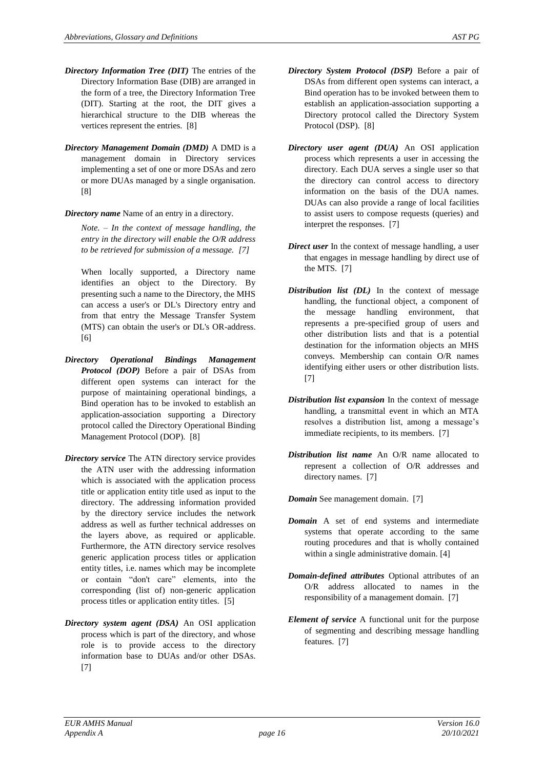- *Directory Information Tree (DIT)* The entries of the Directory Information Base (DIB) are arranged in the form of a tree, the Directory Information Tree (DIT). Starting at the root, the DIT gives a hierarchical structure to the DIB whereas the vertices represent the entries. [\[8\]](#page-4-1)
- *Directory Management Domain (DMD)* A DMD is a management domain in Directory services implementing a set of one or more DSAs and zero or more DUAs managed by a single organisation. [\[8\]](#page-4-1)

#### *Directory name* Name of an entry in a directory.

*Note. – In the context of message handling, the entry in the directory will enable the O/R address to be retrieved for submission of a message. [\[7\]](#page-4-0)*

When locally supported, a Directory name identifies an object to the Directory. By presenting such a name to the Directory, the MHS can access a user's or DL's Directory entry and from that entry the Message Transfer System (MTS) can obtain the user's or DL's OR-address. [\[6\]](#page-4-4)

- *Directory Operational Bindings Management Protocol (DOP)* Before a pair of DSAs from different open systems can interact for the purpose of maintaining operational bindings, a Bind operation has to be invoked to establish an application-association supporting a Directory protocol called the Directory Operational Binding Management Protocol (DOP). [\[8\]](#page-4-1)
- *Directory service* The ATN directory service provides the ATN user with the addressing information which is associated with the application process title or application entity title used as input to the directory. The addressing information provided by the directory service includes the network address as well as further technical addresses on the layers above, as required or applicable. Furthermore, the ATN directory service resolves generic application process titles or application entity titles, i.e. names which may be incomplete or contain "don't care" elements, into the corresponding (list of) non-generic application process titles or application entity titles. [\[5\]](#page-4-7)
- *Directory system agent (DSA)* An OSI application process which is part of the directory, and whose role is to provide access to the directory information base to DUAs and/or other DSAs. [\[7\]](#page-4-0)
- *Directory System Protocol (DSP)* Before a pair of DSAs from different open systems can interact, a Bind operation has to be invoked between them to establish an application-association supporting a Directory protocol called the Directory System Protocol (DSP). [\[8\]](#page-4-1)
- *Directory user agent (DUA)* An OSI application process which represents a user in accessing the directory. Each DUA serves a single user so that the directory can control access to directory information on the basis of the DUA names. DUAs can also provide a range of local facilities to assist users to compose requests (queries) and interpret the responses. [\[7\]](#page-4-0)
- *Direct user* In the context of message handling, a user that engages in message handling by direct use of the MTS. [\[7\]](#page-4-0)
- *Distribution list (DL)* In the context of message handling, the functional object, a component of the message handling environment, that represents a pre-specified group of users and other distribution lists and that is a potential destination for the information objects an MHS conveys. Membership can contain O/R names identifying either users or other distribution lists. [\[7\]](#page-4-0)
- *Distribution list expansion* In the context of message handling, a transmittal event in which an MTA resolves a distribution list, among a message's immediate recipients, to its members. [\[7\]](#page-4-0)
- *Distribution list name* An O/R name allocated to represent a collection of O/R addresses and directory names. [\[7\]](#page-4-0)

*Domain* See management domain. [\[7\]](#page-4-0)

- *Domain* A set of end systems and intermediate systems that operate according to the same routing procedures and that is wholly contained within a single administrative domain[. \[4\]](#page-4-6)
- *Domain-defined attributes* Optional attributes of an O/R address allocated to names in the responsibility of a management domain. [\[7\]](#page-4-0)
- *Element of service* A functional unit for the purpose of segmenting and describing message handling features. [\[7\]](#page-4-0)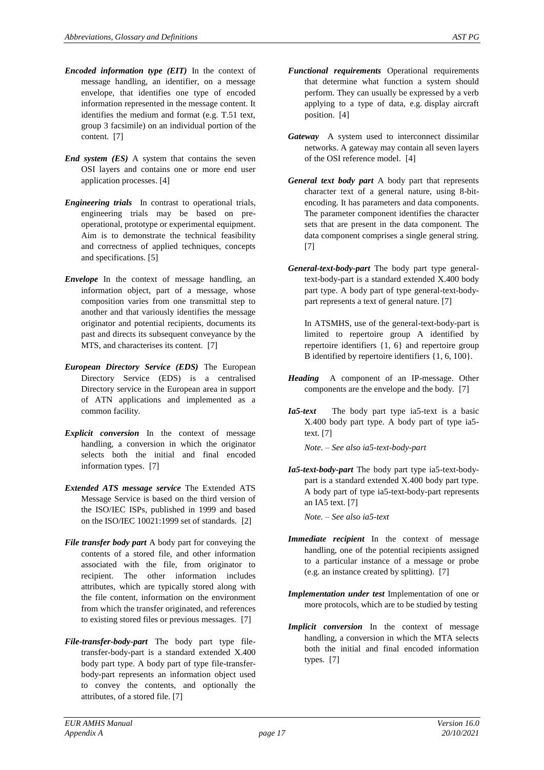- *Encoded information type (EIT)* In the context of message handling, an identifier, on a message envelope, that identifies one type of encoded information represented in the message content. It identifies the medium and format (e.g. T.51 text, group 3 facsimile) on an individual portion of the content. [\[7\]](#page-4-0)
- *End system (ES)* A system that contains the seven OSI layers and contains one or more end user application processes[. \[4\]](#page-4-6)
- *Engineering trials* In contrast to operational trials, engineering trials may be based on preoperational, prototype or experimental equipment. Aim is to demonstrate the technical feasibility and correctness of applied techniques, concepts and specifications. [\[5\]](#page-4-7)
- *Envelope* In the context of message handling, an information object, part of a message, whose composition varies from one transmittal step to another and that variously identifies the message originator and potential recipients, documents its past and directs its subsequent conveyance by the MTS, and characterises its content. [\[7\]](#page-4-0)
- *European Directory Service (EDS)* The European Directory Service (EDS) is a centralised Directory service in the European area in support of ATN applications and implemented as a common facility.
- *Explicit conversion* In the context of message handling, a conversion in which the originator selects both the initial and final encoded information types. [\[7\]](#page-4-0)
- *Extended ATS message service* The Extended ATS Message Service is based on the third version of the ISO/IEC ISPs, published in 1999 and based on the ISO/IEC 10021:1999 set of standards. [\[2\]](#page-4-5)
- *File transfer body part* A body part for conveying the contents of a stored file, and other information associated with the file, from originator to recipient. The other information includes attributes, which are typically stored along with the file content, information on the environment from which the transfer originated, and references to existing stored files or previous messages. [\[7\]](#page-4-0)
- *File-transfer-body-part* The body part type filetransfer-body-part is a standard extended X.400 body part type. A body part of type file-transferbody-part represents an information object used to convey the contents, and optionally the attributes, of a stored file. [7]
- *Functional requirements* Operational requirements that determine what function a system should perform. They can usually be expressed by a verb applying to a type of data, e.g. display aircraft position. [\[4\]](#page-4-6)
- *Gateway* A system used to interconnect dissimilar networks. A gateway may contain all seven layers of the OSI reference model. [\[4\]](#page-4-6)
- *General text body part* A body part that represents character text of a general nature, using 8-bitencoding. It has parameters and data components. The parameter component identifies the character sets that are present in the data component. The data component comprises a single general string. [\[7\]](#page-4-0)
- *General-text-body-part* The body part type generaltext-body-part is a standard extended X.400 body part type. A body part of type general-text-bodypart represents a text of general nature. [7]

In ATSMHS, use of the general-text-body-part is limited to repertoire group A identified by repertoire identifiers {1, 6} and repertoire group B identified by repertoire identifiers {1, 6, 100}.

- *Heading* A component of an IP-message. Other components are the envelope and the body. [\[7\]](#page-4-0)
- *Ia5-text* The body part type ia5-text is a basic X.400 body part type. A body part of type ia5 text. [7]

*Note. – See also ia5-text-body-part*

*Ia5-text-body-part* The body part type ia5-text-bodypart is a standard extended X.400 body part type. A body part of type ia5-text-body-part represents an IA5 text. [7]

*Note. – See also ia5-text*

- *Immediate recipient* In the context of message handling, one of the potential recipients assigned to a particular instance of a message or probe (e.g. an instance created by splitting). [\[7\]](#page-4-0)
- *Implementation under test* Implementation of one or more protocols, which are to be studied by testing
- *Implicit conversion* In the context of message handling, a conversion in which the MTA selects both the initial and final encoded information types. [\[7\]](#page-4-0)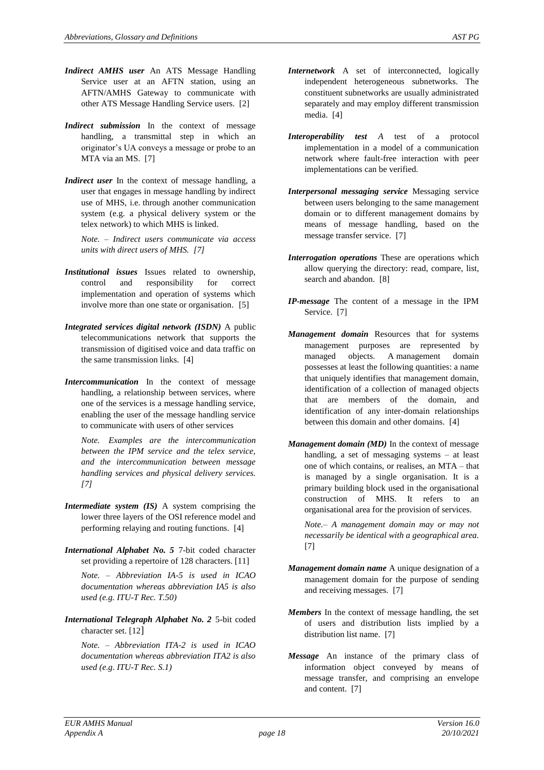- *Indirect AMHS user* An ATS Message Handling Service user at an AFTN station, using an AFTN/AMHS Gateway to communicate with other ATS Message Handling Service users. [\[2\]](#page-4-5)
- *Indirect submission* In the context of message handling, a transmittal step in which an originator's UA conveys a message or probe to an MTA via an MS. [\[7\]](#page-4-0)
- *Indirect user* In the context of message handling, a user that engages in message handling by indirect use of MHS, i.e. through another communication system (e.g. a physical delivery system or the telex network) to which MHS is linked.

*Note. – Indirect users communicate via access units with direct users of MHS. [\[7\]](#page-4-0)*

- *Institutional issues* Issues related to ownership, control and responsibility for correct implementation and operation of systems which involve more than one state or organisation. [\[5\]](#page-4-7)
- *Integrated services digital network (ISDN)* A public telecommunications network that supports the transmission of digitised voice and data traffic on the same transmission links. [\[4\]](#page-4-6)
- *Intercommunication* In the context of message handling, a relationship between services, where one of the services is a message handling service, enabling the user of the message handling service to communicate with users of other services

*Note. Examples are the intercommunication between the IPM service and the telex service, and the intercommunication between message handling services and physical delivery services. [\[7\]](#page-4-0)*

- *Intermediate system (IS)* A system comprising the lower three layers of the OSI reference model and performing relaying and routing functions. [\[4\]](#page-4-6)
- *International Alphabet No. 5* 7-bit coded character set providing a repertoire of 128 characters. [11]

*Note. – Abbreviation IA-5 is used in ICAO documentation whereas abbreviation IA5 is also used (e.g. ITU-T Rec. T.50)*

*International Telegraph Alphabet No. 2* 5-bit coded character set. [12]

*Note. – Abbreviation ITA-2 is used in ICAO documentation whereas abbreviation ITA2 is also used (e.g. ITU-T Rec. S.1)*

- *Internetwork* A set of interconnected, logically independent heterogeneous subnetworks. The constituent subnetworks are usually administrated separately and may employ different transmission media. [\[4\]](#page-4-6)
- *Interoperability test A* test of a protocol implementation in a model of a communication network where fault-free interaction with peer implementations can be verified.
- *Interpersonal messaging service* Messaging service between users belonging to the same management domain or to different management domains by means of message handling, based on the message transfer service. [\[7\]](#page-4-0)
- *Interrogation operations* These are operations which allow querying the directory: read, compare, list, search and abandon. [\[8\]](#page-4-1)
- *IP-message* The content of a message in the IPM Service. [\[7\]](#page-4-0)
- *Management domain* Resources that for systems management purposes are represented by managed objects. A management domain possesses at least the following quantities: a name that uniquely identifies that management domain, identification of a collection of managed objects that are members of the domain, and identification of any inter-domain relationships between this domain and other domains. [\[4\]](#page-4-6)
- *Management domain (MD)* In the context of message handling, a set of messaging systems – at least one of which contains, or realises, an MTA – that is managed by a single organisation. It is a primary building block used in the organisational construction of MHS. It refers to an organisational area for the provision of services.

*Note.– A management domain may or may not necessarily be identical with a geographical area.*  [\[7\]](#page-4-0)

- *Management domain name* A unique designation of a management domain for the purpose of sending and receiving messages. [\[7\]](#page-4-0)
- *Members* In the context of message handling, the set of users and distribution lists implied by a distribution list name. [\[7\]](#page-4-0)
- *Message* An instance of the primary class of information object conveyed by means of message transfer, and comprising an envelope and content. [\[7\]](#page-4-0)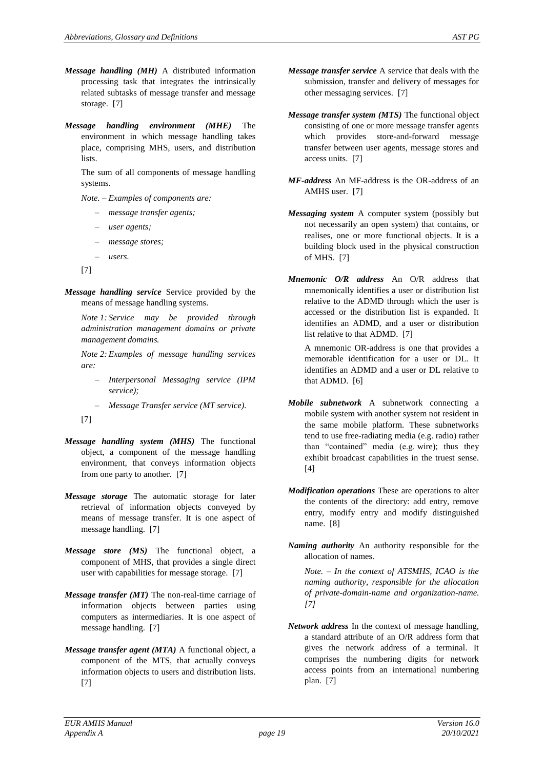- related subtasks of message transfer and message storage. [\[7\]](#page-4-0)
- *Message handling environment (MHE)* The environment in which message handling takes place, comprising MHS, users, and distribution lists.

The sum of all components of message handling systems.

*Note. – Examples of components are:*

- *– message transfer agents;*
- *– user agents;*
- *– message stores;*
- *– users.*
- [\[7\]](#page-4-0)
- *Message handling service* Service provided by the means of message handling systems.

*Note 1: Service may be provided through administration management domains or private management domains.*

*Note 2: Examples of message handling services are:*

- *– Interpersonal Messaging service (IPM service);*
- *– Message Transfer service (MT service).*
- [\[7\]](#page-4-0)
- *Message handling system (MHS)* The functional object, a component of the message handling environment, that conveys information objects from one party to another. [\[7\]](#page-4-0)
- *Message storage* The automatic storage for later retrieval of information objects conveyed by means of message transfer. It is one aspect of message handling. [\[7\]](#page-4-0)
- *Message store (MS)* The functional object, a component of MHS, that provides a single direct user with capabilities for message storage. [\[7\]](#page-4-0)
- *Message transfer (MT)* The non-real-time carriage of information objects between parties using computers as intermediaries. It is one aspect of message handling. [\[7\]](#page-4-0)
- *Message transfer agent (MTA)* A functional object, a component of the MTS, that actually conveys information objects to users and distribution lists. [\[7\]](#page-4-0)
- *Message transfer service* A service that deals with the submission, transfer and delivery of messages for other messaging services. [\[7\]](#page-4-0)
- *Message transfer system (MTS)* The functional object consisting of one or more message transfer agents which provides store-and-forward message transfer between user agents, message stores and access units. [\[7\]](#page-4-0)
- *MF-address* An MF-address is the OR-address of an AMHS user. [\[7\]](#page-4-0)
- *Messaging system* A computer system (possibly but not necessarily an open system) that contains, or realises, one or more functional objects. It is a building block used in the physical construction of MHS. [\[7\]](#page-4-0)
- *Mnemonic O/R address* An O/R address that mnemonically identifies a user or distribution list relative to the ADMD through which the user is accessed or the distribution list is expanded. It identifies an ADMD, and a user or distribution list relative to that ADMD. [\[7\]](#page-4-0)

A mnemonic OR-address is one that provides a memorable identification for a user or DL. It identifies an ADMD and a user or DL relative to that ADMD. [\[6\]](#page-4-4)

- *Mobile subnetwork* A subnetwork connecting a mobile system with another system not resident in the same mobile platform. These subnetworks tend to use free-radiating media (e.g. radio) rather than "contained" media (e.g. wire); thus they exhibit broadcast capabilities in the truest sense. [\[4\]](#page-4-6)
- *Modification operations* These are operations to alter the contents of the directory: add entry, remove entry, modify entry and modify distinguished name. [\[8\]](#page-4-1)

*Naming authority* An authority responsible for the allocation of names.

*Note. – In the context of ATSMHS, ICAO is the naming authority, responsible for the allocation of private-domain-name and organization-name. [\[7\]](#page-4-0)*

*Network address* In the context of message handling, a standard attribute of an O/R address form that gives the network address of a terminal. It comprises the numbering digits for network access points from an international numbering plan. [\[7\]](#page-4-0)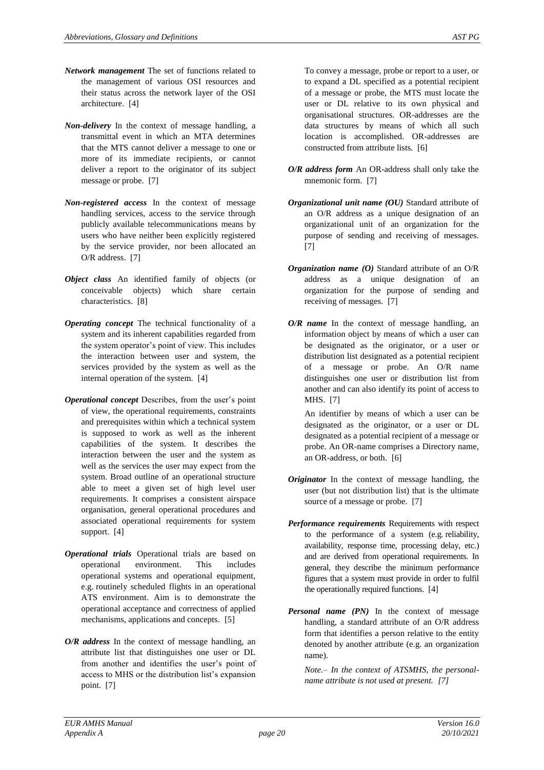- *Network management* The set of functions related to the management of various OSI resources and their status across the network layer of the OSI architecture. [\[4\]](#page-4-6)
- *Non-delivery* In the context of message handling, a transmittal event in which an MTA determines that the MTS cannot deliver a message to one or more of its immediate recipients, or cannot deliver a report to the originator of its subject message or probe. [\[7\]](#page-4-0)
- *Non-registered access* In the context of message handling services, access to the service through publicly available telecommunications means by users who have neither been explicitly registered by the service provider, nor been allocated an O/R address. [\[7\]](#page-4-0)
- *Object class* An identified family of objects (or conceivable objects) which share certain characteristics. [\[8\]](#page-4-1)
- *Operating concept* The technical functionality of a system and its inherent capabilities regarded from the system operator's point of view. This includes the interaction between user and system, the services provided by the system as well as the internal operation of the system. [\[4\]](#page-4-6)
- *Operational concept* Describes, from the user's point of view, the operational requirements, constraints and prerequisites within which a technical system is supposed to work as well as the inherent capabilities of the system. It describes the interaction between the user and the system as well as the services the user may expect from the system. Broad outline of an operational structure able to meet a given set of high level user requirements. It comprises a consistent airspace organisation, general operational procedures and associated operational requirements for system support. [\[4\]](#page-4-6)
- *Operational trials* Operational trials are based on operational environment. This includes operational systems and operational equipment, e.g. routinely scheduled flights in an operational ATS environment. Aim is to demonstrate the operational acceptance and correctness of applied mechanisms, applications and concepts. [\[5\]](#page-4-7)
- *O/R address* In the context of message handling, an attribute list that distinguishes one user or DL from another and identifies the user's point of access to MHS or the distribution list's expansion point. [\[7\]](#page-4-0)

To convey a message, probe or report to a user, or to expand a DL specified as a potential recipient of a message or probe, the MTS must locate the user or DL relative to its own physical and organisational structures. OR-addresses are the data structures by means of which all such location is accomplished. OR-addresses are constructed from attribute lists. [\[6\]](#page-4-4)

- *O/R address form* An OR-address shall only take the mnemonic form. [\[7\]](#page-4-0)
- *Organizational unit name (OU)* Standard attribute of an O/R address as a unique designation of an organizational unit of an organization for the purpose of sending and receiving of messages. [\[7\]](#page-4-0)
- *Organization name (O)* Standard attribute of an O/R address as a unique designation of an organization for the purpose of sending and receiving of messages. [\[7\]](#page-4-0)
- *O/R name* In the context of message handling, an information object by means of which a user can be designated as the originator, or a user or distribution list designated as a potential recipient of a message or probe. An O/R name distinguishes one user or distribution list from another and can also identify its point of access to MHS. [\[7\]](#page-4-0)

An identifier by means of which a user can be designated as the originator, or a user or DL designated as a potential recipient of a message or probe. An OR-name comprises a Directory name, an OR-address, or both. [\[6\]](#page-4-4)

- *Originator* In the context of message handling, the user (but not distribution list) that is the ultimate source of a message or probe. [\[7\]](#page-4-0)
- *Performance requirements* Requirements with respect to the performance of a system (e.g. reliability, availability, response time, processing delay, etc.) and are derived from operational requirements. In general, they describe the minimum performance figures that a system must provide in order to fulfil the operationally required functions. [\[4\]](#page-4-6)
- *Personal name (PN)* In the context of message handling, a standard attribute of an O/R address form that identifies a person relative to the entity denoted by another attribute (e.g. an organization name).

*Note.– In the context of ATSMHS, the personalname attribute is not used at present. [\[7\]](#page-4-0)*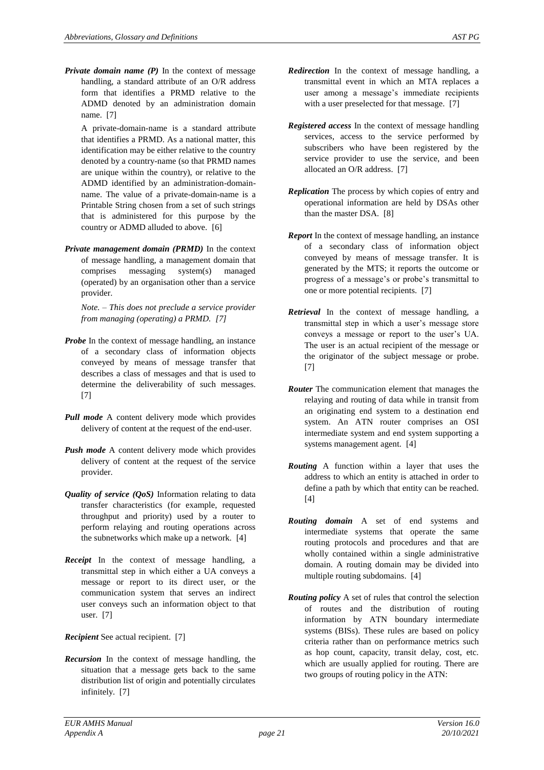*Private domain name (P)* In the context of message handling, a standard attribute of an O/R address form that identifies a PRMD relative to the ADMD denoted by an administration domain name. [\[7\]](#page-4-0)

A private-domain-name is a standard attribute that identifies a PRMD. As a national matter, this identification may be either relative to the country denoted by a country-name (so that PRMD names are unique within the country), or relative to the ADMD identified by an administration-domainname. The value of a private-domain-name is a Printable String chosen from a set of such strings that is administered for this purpose by the country or ADMD alluded to above. [\[6\]](#page-4-4)

*Private management domain (PRMD)* In the context of message handling, a management domain that comprises messaging system(s) managed (operated) by an organisation other than a service provider.

*Note. – This does not preclude a service provider from managing (operating) a PRMD. [\[7\]](#page-4-0)*

- *Probe* In the context of message handling, an instance of a secondary class of information objects conveyed by means of message transfer that describes a class of messages and that is used to determine the deliverability of such messages. [\[7\]](#page-4-0)
- *Pull mode* A content delivery mode which provides delivery of content at the request of the end-user.
- *Push mode* A content delivery mode which provides delivery of content at the request of the service provider.
- *Quality of service (QoS)* Information relating to data transfer characteristics (for example, requested throughput and priority) used by a router to perform relaying and routing operations across the subnetworks which make up a network. [\[4\]](#page-4-6)
- *Receipt* In the context of message handling, a transmittal step in which either a UA conveys a message or report to its direct user, or the communication system that serves an indirect user conveys such an information object to that user. [\[7\]](#page-4-0)

*Recipient* See actual recipient. [\[7\]](#page-4-0)

*Recursion* In the context of message handling, the situation that a message gets back to the same distribution list of origin and potentially circulates infinitely. [\[7\]](#page-4-0)

- *Redirection* In the context of message handling, a transmittal event in which an MTA replaces a user among a message's immediate recipients with a user preselected for that message. [\[7\]](#page-4-0)
- *Registered access* In the context of message handling services, access to the service performed by subscribers who have been registered by the service provider to use the service, and been allocated an O/R address. [\[7\]](#page-4-0)
- *Replication* The process by which copies of entry and operational information are held by DSAs other than the master DSA. [\[8\]](#page-4-1)
- *Report* In the context of message handling, an instance of a secondary class of information object conveyed by means of message transfer. It is generated by the MTS; it reports the outcome or progress of a message's or probe's transmittal to one or more potential recipients. [\[7\]](#page-4-0)
- *Retrieval* In the context of message handling, a transmittal step in which a user's message store conveys a message or report to the user's UA. The user is an actual recipient of the message or the originator of the subject message or probe. [\[7\]](#page-4-0)
- *Router* The communication element that manages the relaying and routing of data while in transit from an originating end system to a destination end system. An ATN router comprises an OSI intermediate system and end system supporting a systems management agent. [\[4\]](#page-4-6)
- *Routing* A function within a layer that uses the address to which an entity is attached in order to define a path by which that entity can be reached. [\[4\]](#page-4-6)
- *Routing domain* A set of end systems and intermediate systems that operate the same routing protocols and procedures and that are wholly contained within a single administrative domain. A routing domain may be divided into multiple routing subdomains. [\[4\]](#page-4-6)
- *Routing policy* A set of rules that control the selection of routes and the distribution of routing information by ATN boundary intermediate systems (BISs). These rules are based on policy criteria rather than on performance metrics such as hop count, capacity, transit delay, cost, etc. which are usually applied for routing. There are two groups of routing policy in the ATN: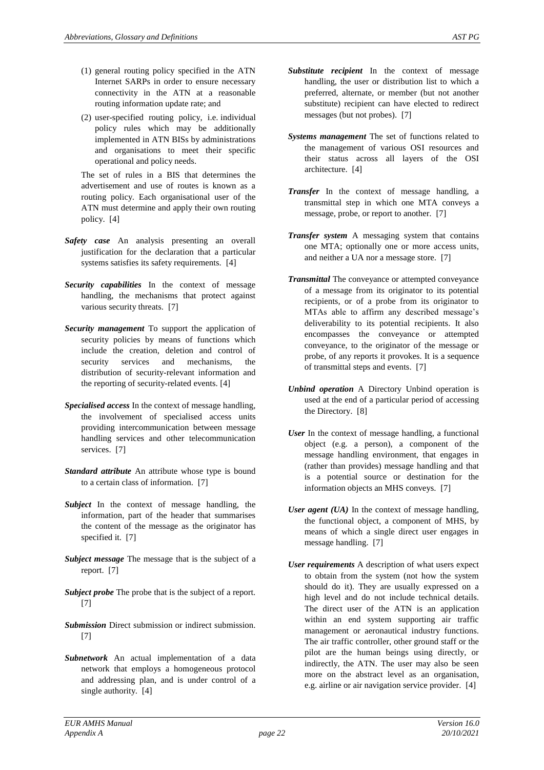- (1) general routing policy specified in the ATN Internet SARPs in order to ensure necessary connectivity in the ATN at a reasonable routing information update rate; and
- (2) user-specified routing policy, i.e. individual policy rules which may be additionally implemented in ATN BISs by administrations and organisations to meet their specific operational and policy needs.

The set of rules in a BIS that determines the advertisement and use of routes is known as a routing policy. Each organisational user of the ATN must determine and apply their own routing policy. [\[4\]](#page-4-6)

- *Safety case* An analysis presenting an overall justification for the declaration that a particular systems satisfies its safety requirements. [\[4\]](#page-4-6)
- *Security capabilities* In the context of message handling, the mechanisms that protect against various security threats. [\[7\]](#page-4-0)
- *Security management* To support the application of security policies by means of functions which include the creation, deletion and control of security services and mechanisms, the distribution of security-relevant information and the reporting of security-related events. [\[4\]](#page-4-6)
- *Specialised access* In the context of message handling, the involvement of specialised access units providing intercommunication between message handling services and other telecommunication services. [\[7\]](#page-4-0)
- *Standard attribute* An attribute whose type is bound to a certain class of information. [\[7\]](#page-4-0)
- *Subject* In the context of message handling, the information, part of the header that summarises the content of the message as the originator has specified it. [\[7\]](#page-4-0)
- *Subject message* The message that is the subject of a report. [\[7\]](#page-4-0)
- *Subject probe* The probe that is the subject of a report. [\[7\]](#page-4-0)
- *Submission* Direct submission or indirect submission. [\[7\]](#page-4-0)
- *Subnetwork* An actual implementation of a data network that employs a homogeneous protocol and addressing plan, and is under control of a single authority. [\[4\]](#page-4-6)
- *Substitute recipient* In the context of message handling, the user or distribution list to which a preferred, alternate, or member (but not another substitute) recipient can have elected to redirect messages (but not probes). [\[7\]](#page-4-0)
- *Systems management* The set of functions related to the management of various OSI resources and their status across all layers of the OSI architecture. [\[4\]](#page-4-6)
- *Transfer* In the context of message handling, a transmittal step in which one MTA conveys a message, probe, or report to another. [\[7\]](#page-4-0)
- *Transfer system* A messaging system that contains one MTA; optionally one or more access units, and neither a UA nor a message store. [\[7\]](#page-4-0)
- *Transmittal* The conveyance or attempted conveyance of a message from its originator to its potential recipients, or of a probe from its originator to MTAs able to affirm any described message's deliverability to its potential recipients. It also encompasses the conveyance or attempted conveyance, to the originator of the message or probe, of any reports it provokes. It is a sequence of transmittal steps and events. [\[7\]](#page-4-0)
- *Unbind operation* A Directory Unbind operation is used at the end of a particular period of accessing the Directory. [\[8\]](#page-4-1)
- *User* In the context of message handling, a functional object (e.g. a person), a component of the message handling environment, that engages in (rather than provides) message handling and that is a potential source or destination for the information objects an MHS conveys. [\[7\]](#page-4-0)
- *User agent (UA)* In the context of message handling, the functional object, a component of MHS, by means of which a single direct user engages in message handling. [\[7\]](#page-4-0)
- *User requirements* A description of what users expect to obtain from the system (not how the system should do it). They are usually expressed on a high level and do not include technical details. The direct user of the ATN is an application within an end system supporting air traffic management or aeronautical industry functions. The air traffic controller, other ground staff or the pilot are the human beings using directly, or indirectly, the ATN. The user may also be seen more on the abstract level as an organisation, e.g. airline or air navigation service provider. [\[4\]](#page-4-6)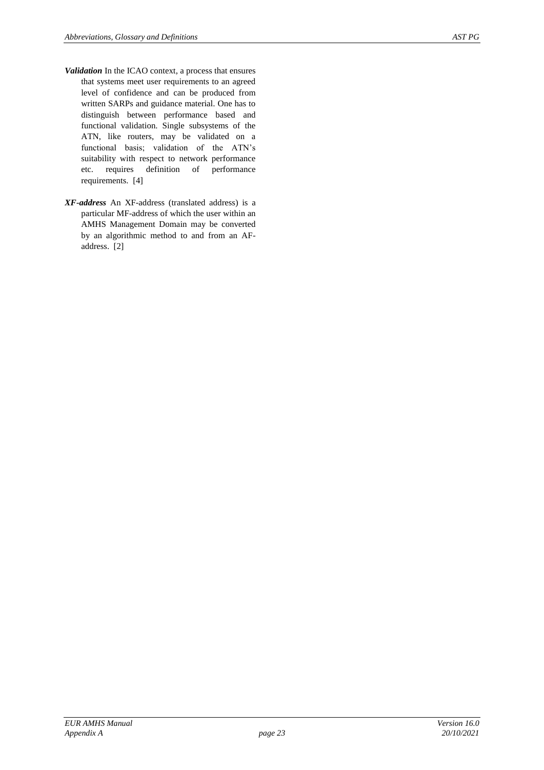- *Validation* In the ICAO context, a process that ensures that systems meet user requirements to an agreed level of confidence and can be produced from written SARPs and guidance material. One has to distinguish between performance based and functional validation. Single subsystems of the ATN, like routers, may be validated on a functional basis; validation of the ATN's suitability with respect to network performance etc. requires definition of performance requirements. [\[4\]](#page-4-6)
- *XF-address* An XF-address (translated address) is a particular MF-address of which the user within an AMHS Management Domain may be converted by an algorithmic method to and from an AFaddress. [\[2\]](#page-4-5)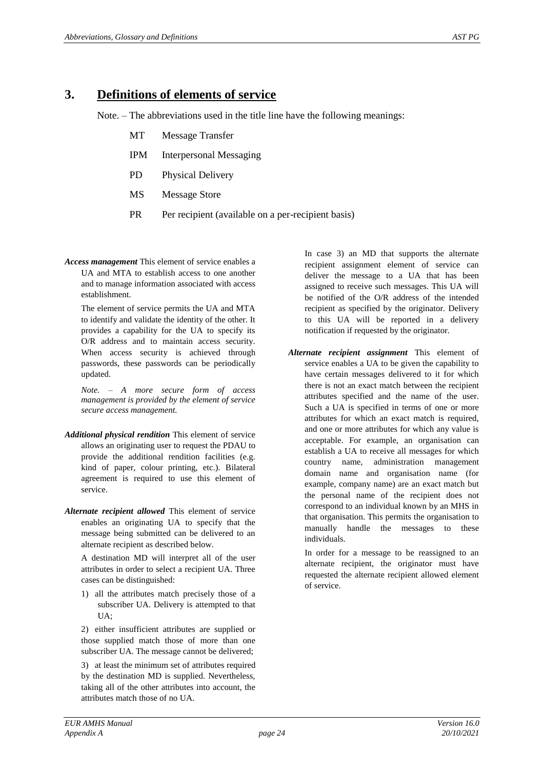#### **3. Definitions of elements of service**

Note. – The abbreviations used in the title line have the following meanings:

- MT Message Transfer
- IPM Interpersonal Messaging
- PD Physical Delivery
- MS Message Store
- PR Per recipient (available on a per-recipient basis)
- *Access management* This element of service enables a UA and MTA to establish access to one another and to manage information associated with access establishment.

The element of service permits the UA and MTA to identify and validate the identity of the other. It provides a capability for the UA to specify its O/R address and to maintain access security. When access security is achieved through passwords, these passwords can be periodically updated.

*Note. – A more secure form of access management is provided by the element of service secure access management.*

- *Additional physical rendition* This element of service allows an originating user to request the PDAU to provide the additional rendition facilities (e.g. kind of paper, colour printing, etc.). Bilateral agreement is required to use this element of service.
- *Alternate recipient allowed* This element of service enables an originating UA to specify that the message being submitted can be delivered to an alternate recipient as described below.

A destination MD will interpret all of the user attributes in order to select a recipient UA. Three cases can be distinguished:

1) all the attributes match precisely those of a subscriber UA. Delivery is attempted to that UA;

2) either insufficient attributes are supplied or those supplied match those of more than one subscriber UA. The message cannot be delivered;

3) at least the minimum set of attributes required by the destination MD is supplied. Nevertheless, taking all of the other attributes into account, the attributes match those of no UA.

In case 3) an MD that supports the alternate recipient assignment element of service can deliver the message to a UA that has been assigned to receive such messages. This UA will be notified of the O/R address of the intended recipient as specified by the originator. Delivery to this UA will be reported in a delivery notification if requested by the originator.

*Alternate recipient assignment* This element of service enables a UA to be given the capability to have certain messages delivered to it for which there is not an exact match between the recipient attributes specified and the name of the user. Such a UA is specified in terms of one or more attributes for which an exact match is required, and one or more attributes for which any value is acceptable. For example, an organisation can establish a UA to receive all messages for which country name, administration management domain name and organisation name (for example, company name) are an exact match but the personal name of the recipient does not correspond to an individual known by an MHS in that organisation. This permits the organisation to manually handle the messages to these individuals.

In order for a message to be reassigned to an alternate recipient, the originator must have requested the alternate recipient allowed element of service.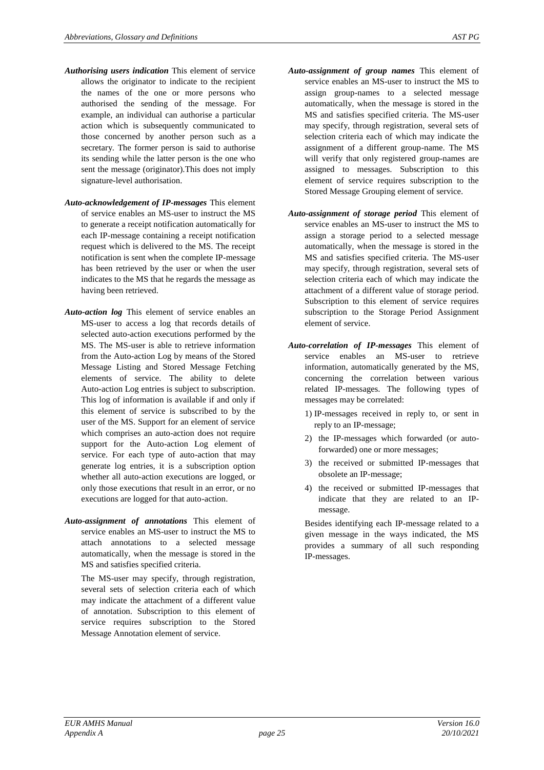- *Authorising users indication* This element of service allows the originator to indicate to the recipient the names of the one or more persons who authorised the sending of the message. For example, an individual can authorise a particular action which is subsequently communicated to those concerned by another person such as a secretary. The former person is said to authorise its sending while the latter person is the one who sent the message (originator).This does not imply signature-level authorisation.
- *Auto-acknowledgement of IP-messages* This element of service enables an MS-user to instruct the MS to generate a receipt notification automatically for each IP-message containing a receipt notification request which is delivered to the MS. The receipt notification is sent when the complete IP-message has been retrieved by the user or when the user indicates to the MS that he regards the message as having been retrieved.
- *Auto-action log* This element of service enables an MS-user to access a log that records details of selected auto-action executions performed by the MS. The MS-user is able to retrieve information from the Auto-action Log by means of the Stored Message Listing and Stored Message Fetching elements of service. The ability to delete Auto-action Log entries is subject to subscription. This log of information is available if and only if this element of service is subscribed to by the user of the MS. Support for an element of service which comprises an auto-action does not require support for the Auto-action Log element of service. For each type of auto-action that may generate log entries, it is a subscription option whether all auto-action executions are logged, or only those executions that result in an error, or no executions are logged for that auto-action.
- *Auto-assignment of annotations* This element of service enables an MS-user to instruct the MS to attach annotations to a selected message automatically, when the message is stored in the MS and satisfies specified criteria.

The MS-user may specify, through registration, several sets of selection criteria each of which may indicate the attachment of a different value of annotation. Subscription to this element of service requires subscription to the Stored Message Annotation element of service.

- *Auto-assignment of group names* This element of service enables an MS-user to instruct the MS to assign group-names to a selected message automatically, when the message is stored in the MS and satisfies specified criteria. The MS-user may specify, through registration, several sets of selection criteria each of which may indicate the assignment of a different group-name. The MS will verify that only registered group-names are assigned to messages. Subscription to this element of service requires subscription to the Stored Message Grouping element of service.
- *Auto-assignment of storage period* This element of service enables an MS-user to instruct the MS to assign a storage period to a selected message automatically, when the message is stored in the MS and satisfies specified criteria. The MS-user may specify, through registration, several sets of selection criteria each of which may indicate the attachment of a different value of storage period. Subscription to this element of service requires subscription to the Storage Period Assignment element of service.
- *Auto-correlation of IP-messages* This element of service enables an MS-user to retrieve information, automatically generated by the MS, concerning the correlation between various related IP-messages. The following types of messages may be correlated:
	- 1) IP-messages received in reply to, or sent in reply to an IP-message;
	- 2) the IP-messages which forwarded (or autoforwarded) one or more messages;
	- 3) the received or submitted IP-messages that obsolete an IP-message;
	- 4) the received or submitted IP-messages that indicate that they are related to an IPmessage.

Besides identifying each IP-message related to a given message in the ways indicated, the MS provides a summary of all such responding IP-messages.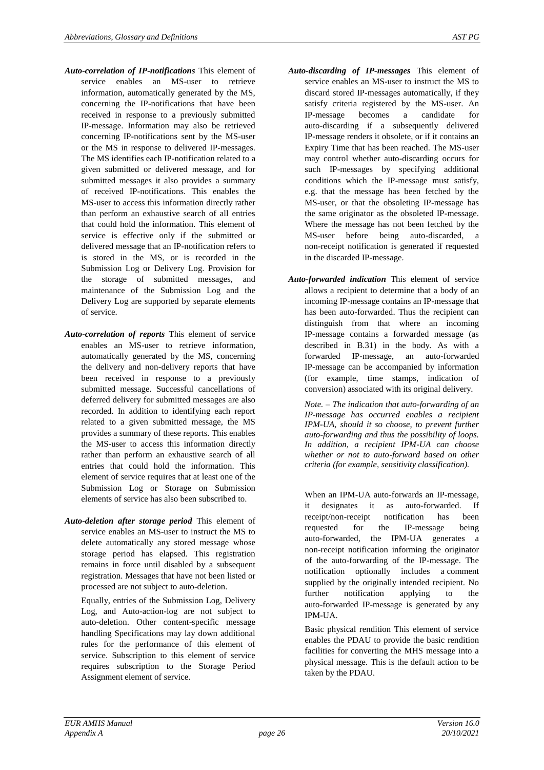- *Auto-correlation of IP-notifications* This element of service enables an MS-user to retrieve information, automatically generated by the MS, concerning the IP-notifications that have been received in response to a previously submitted IP-message. Information may also be retrieved concerning IP-notifications sent by the MS-user or the MS in response to delivered IP-messages. The MS identifies each IP-notification related to a given submitted or delivered message, and for submitted messages it also provides a summary of received IP-notifications. This enables the MS-user to access this information directly rather than perform an exhaustive search of all entries that could hold the information. This element of service is effective only if the submitted or delivered message that an IP-notification refers to is stored in the MS, or is recorded in the Submission Log or Delivery Log. Provision for the storage of submitted messages, and maintenance of the Submission Log and the Delivery Log are supported by separate elements of service.
- *Auto-correlation of reports* This element of service enables an MS-user to retrieve information, automatically generated by the MS, concerning the delivery and non-delivery reports that have been received in response to a previously submitted message. Successful cancellations of deferred delivery for submitted messages are also recorded. In addition to identifying each report related to a given submitted message, the MS provides a summary of these reports. This enables the MS-user to access this information directly rather than perform an exhaustive search of all entries that could hold the information. This element of service requires that at least one of the Submission Log or Storage on Submission elements of service has also been subscribed to.
- *Auto-deletion after storage period* This element of service enables an MS-user to instruct the MS to delete automatically any stored message whose storage period has elapsed. This registration remains in force until disabled by a subsequent registration. Messages that have not been listed or processed are not subject to auto-deletion.

Equally, entries of the Submission Log, Delivery Log, and Auto-action-log are not subject to auto-deletion. Other content-specific message handling Specifications may lay down additional rules for the performance of this element of service. Subscription to this element of service requires subscription to the Storage Period Assignment element of service.

- *Auto-discarding of IP-messages* This element of service enables an MS-user to instruct the MS to discard stored IP-messages automatically, if they satisfy criteria registered by the MS-user. An IP-message becomes a candidate for auto-discarding if a subsequently delivered IP-message renders it obsolete, or if it contains an Expiry Time that has been reached. The MS-user may control whether auto-discarding occurs for such IP-messages by specifying additional conditions which the IP-message must satisfy, e.g. that the message has been fetched by the MS-user, or that the obsoleting IP-message has the same originator as the obsoleted IP-message. Where the message has not been fetched by the MS-user before being auto-discarded, a non-receipt notification is generated if requested in the discarded IP-message.
- *Auto-forwarded indication* This element of service allows a recipient to determine that a body of an incoming IP-message contains an IP-message that has been auto-forwarded. Thus the recipient can distinguish from that where an incoming IP-message contains a forwarded message (as described in B.31) in the body. As with a forwarded IP-message, an auto-forwarded IP-message can be accompanied by information (for example, time stamps, indication of conversion) associated with its original delivery.

*Note. – The indication that auto-forwarding of an IP-message has occurred enables a recipient IPM-UA, should it so choose, to prevent further auto-forwarding and thus the possibility of loops. In addition, a recipient IPM-UA can choose whether or not to auto-forward based on other criteria (for example, sensitivity classification).*

When an IPM-UA auto-forwards an IP-message, it designates it as auto-forwarded. If receipt/non-receipt notification has been requested for the IP-message being auto-forwarded, the IPM-UA generates a non-receipt notification informing the originator of the auto-forwarding of the IP-message. The notification optionally includes a comment supplied by the originally intended recipient. No further notification applying to the auto-forwarded IP-message is generated by any IPM-UA.

Basic physical rendition This element of service enables the PDAU to provide the basic rendition facilities for converting the MHS message into a physical message. This is the default action to be taken by the PDAU.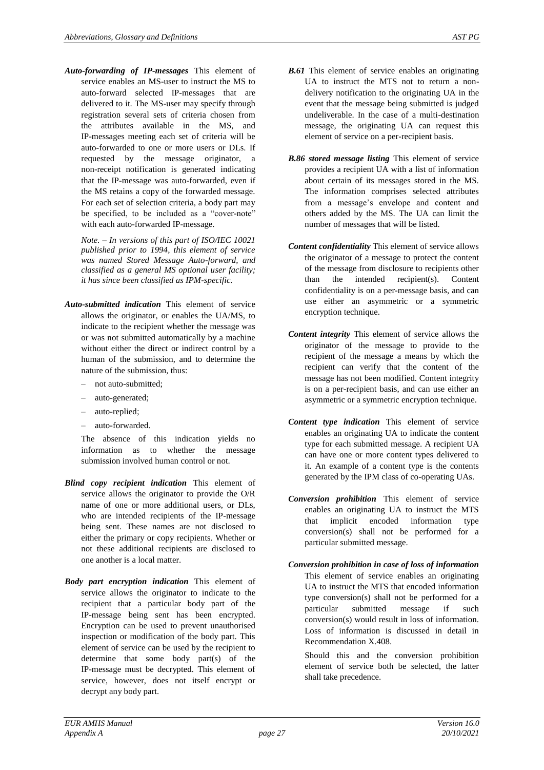*Auto-forwarding of IP-messages* This element of service enables an MS-user to instruct the MS to auto-forward selected IP-messages that are delivered to it. The MS-user may specify through registration several sets of criteria chosen from the attributes available in the MS, and IP-messages meeting each set of criteria will be auto-forwarded to one or more users or DLs. If requested by the message originator, a non-receipt notification is generated indicating that the IP-message was auto-forwarded, even if the MS retains a copy of the forwarded message. For each set of selection criteria, a body part may be specified, to be included as a "cover-note" with each auto-forwarded IP-message.

*Note. – In versions of this part of ISO/IEC 10021 published prior to 1994, this element of service was named Stored Message Auto-forward, and classified as a general MS optional user facility; it has since been classified as IPM-specific.*

- *Auto-submitted indication* This element of service allows the originator, or enables the UA/MS, to indicate to the recipient whether the message was or was not submitted automatically by a machine without either the direct or indirect control by a human of the submission, and to determine the nature of the submission, thus:
	- not auto-submitted;
	- auto-generated;
	- auto-replied;
	- auto-forwarded.

The absence of this indication yields no information as to whether the message submission involved human control or not.

- *Blind copy recipient indication* This element of service allows the originator to provide the O/R name of one or more additional users, or DLs, who are intended recipients of the IP-message being sent. These names are not disclosed to either the primary or copy recipients. Whether or not these additional recipients are disclosed to one another is a local matter.
- *Body part encryption indication* This element of service allows the originator to indicate to the recipient that a particular body part of the IP-message being sent has been encrypted. Encryption can be used to prevent unauthorised inspection or modification of the body part. This element of service can be used by the recipient to determine that some body part(s) of the IP-message must be decrypted. This element of service, however, does not itself encrypt or decrypt any body part.
- *B.61* This element of service enables an originating UA to instruct the MTS not to return a nondelivery notification to the originating UA in the event that the message being submitted is judged undeliverable. In the case of a multi-destination message, the originating UA can request this element of service on a per-recipient basis.
- *B.86 stored message listing* This element of service provides a recipient UA with a list of information about certain of its messages stored in the MS. The information comprises selected attributes from a message's envelope and content and others added by the MS. The UA can limit the number of messages that will be listed.
- *Content confidentiality* This element of service allows the originator of a message to protect the content of the message from disclosure to recipients other than the intended recipient(s). Content confidentiality is on a per-message basis, and can use either an asymmetric or a symmetric encryption technique.
- *Content integrity* This element of service allows the originator of the message to provide to the recipient of the message a means by which the recipient can verify that the content of the message has not been modified. Content integrity is on a per-recipient basis, and can use either an asymmetric or a symmetric encryption technique.
- *Content type indication* This element of service enables an originating UA to indicate the content type for each submitted message. A recipient UA can have one or more content types delivered to it. An example of a content type is the contents generated by the IPM class of co-operating UAs.
- *Conversion prohibition* This element of service enables an originating UA to instruct the MTS that implicit encoded information type conversion(s) shall not be performed for a particular submitted message.
- *Conversion prohibition in case of loss of information*  This element of service enables an originating UA to instruct the MTS that encoded information type conversion(s) shall not be performed for a particular submitted message if such conversion(s) would result in loss of information. Loss of information is discussed in detail in Recommendation X.408.

Should this and the conversion prohibition element of service both be selected, the latter shall take precedence.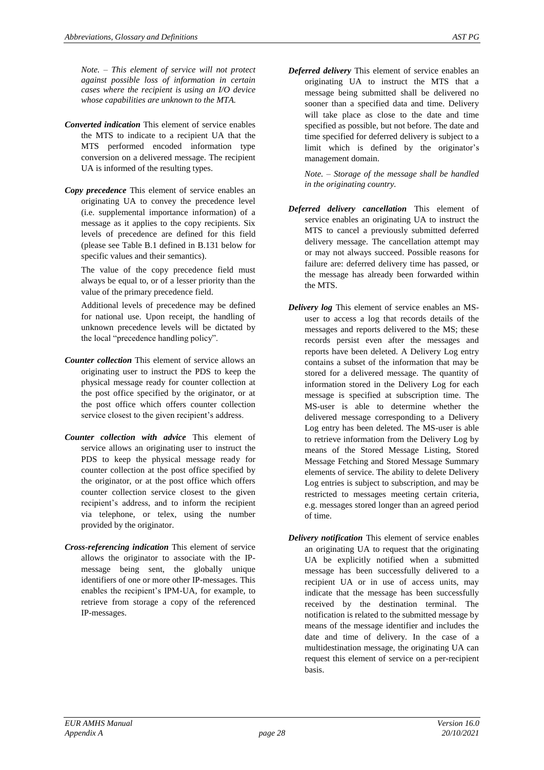*Note. – This element of service will not protect against possible loss of information in certain cases where the recipient is using an I/O device whose capabilities are unknown to the MTA.*

- *Converted indication* This element of service enables the MTS to indicate to a recipient UA that the MTS performed encoded information type conversion on a delivered message. The recipient UA is informed of the resulting types.
- *Copy precedence* This element of service enables an originating UA to convey the precedence level (i.e. supplemental importance information) of a message as it applies to the copy recipients. Six levels of precedence are defined for this field (please see Table B.1 defined in B.131 below for specific values and their semantics).

The value of the copy precedence field must always be equal to, or of a lesser priority than the value of the primary precedence field.

Additional levels of precedence may be defined for national use. Upon receipt, the handling of unknown precedence levels will be dictated by the local "precedence handling policy".

- *Counter collection* This element of service allows an originating user to instruct the PDS to keep the physical message ready for counter collection at the post office specified by the originator, or at the post office which offers counter collection service closest to the given recipient's address.
- *Counter collection with advice* This element of service allows an originating user to instruct the PDS to keep the physical message ready for counter collection at the post office specified by the originator, or at the post office which offers counter collection service closest to the given recipient's address, and to inform the recipient via telephone, or telex, using the number provided by the originator.
- *Cross-referencing indication* This element of service allows the originator to associate with the IPmessage being sent, the globally unique identifiers of one or more other IP-messages. This enables the recipient's IPM-UA, for example, to retrieve from storage a copy of the referenced IP-messages.
- *Deferred delivery* This element of service enables an originating UA to instruct the MTS that a message being submitted shall be delivered no sooner than a specified data and time. Delivery
	- will take place as close to the date and time specified as possible, but not before. The date and time specified for deferred delivery is subject to a limit which is defined by the originator's management domain.

*Note. – Storage of the message shall be handled in the originating country.*

- *Deferred delivery cancellation* This element of service enables an originating UA to instruct the MTS to cancel a previously submitted deferred delivery message. The cancellation attempt may or may not always succeed. Possible reasons for failure are: deferred delivery time has passed, or the message has already been forwarded within the MTS.
- *Delivery log* This element of service enables an MSuser to access a log that records details of the messages and reports delivered to the MS; these records persist even after the messages and reports have been deleted. A Delivery Log entry contains a subset of the information that may be stored for a delivered message. The quantity of information stored in the Delivery Log for each message is specified at subscription time. The MS-user is able to determine whether the delivered message corresponding to a Delivery Log entry has been deleted. The MS-user is able to retrieve information from the Delivery Log by means of the Stored Message Listing, Stored Message Fetching and Stored Message Summary elements of service. The ability to delete Delivery Log entries is subject to subscription, and may be restricted to messages meeting certain criteria, e.g. messages stored longer than an agreed period of time.
- *Delivery notification* This element of service enables an originating UA to request that the originating UA be explicitly notified when a submitted message has been successfully delivered to a recipient UA or in use of access units, may indicate that the message has been successfully received by the destination terminal. The notification is related to the submitted message by means of the message identifier and includes the date and time of delivery. In the case of a multidestination message, the originating UA can request this element of service on a per-recipient basis.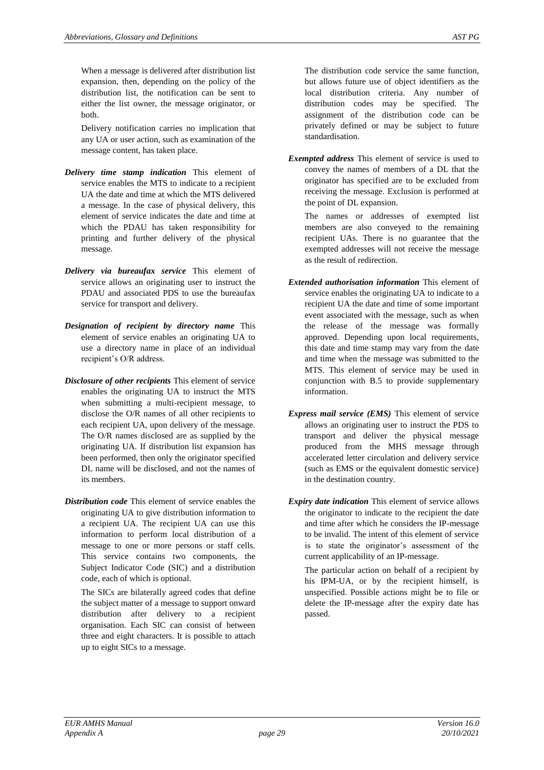When a message is delivered after distribution list expansion, then, depending on the policy of the distribution list, the notification can be sent to either the list owner, the message originator, or both.

Delivery notification carries no implication that any UA or user action, such as examination of the message content, has taken place.

- *Delivery time stamp indication* This element of service enables the MTS to indicate to a recipient UA the date and time at which the MTS delivered a message. In the case of physical delivery, this element of service indicates the date and time at which the PDAU has taken responsibility for printing and further delivery of the physical message.
- *Delivery via bureaufax service* This element of service allows an originating user to instruct the PDAU and associated PDS to use the bureaufax service for transport and delivery.
- *Designation of recipient by directory name* This element of service enables an originating UA to use a directory name in place of an individual recipient's O/R address.
- *Disclosure of other recipients* This element of service enables the originating UA to instruct the MTS when submitting a multi-recipient message, to disclose the O/R names of all other recipients to each recipient UA, upon delivery of the message. The O/R names disclosed are as supplied by the originating UA. If distribution list expansion has been performed, then only the originator specified DL name will be disclosed, and not the names of its members.
- *Distribution code* This element of service enables the originating UA to give distribution information to a recipient UA. The recipient UA can use this information to perform local distribution of a message to one or more persons or staff cells. This service contains two components, the Subject Indicator Code (SIC) and a distribution code, each of which is optional.

The SICs are bilaterally agreed codes that define the subject matter of a message to support onward distribution after delivery to a recipient organisation. Each SIC can consist of between three and eight characters. It is possible to attach up to eight SICs to a message.

The distribution code service the same function, but allows future use of object identifiers as the local distribution criteria. Any number of distribution codes may be specified. The assignment of the distribution code can be privately defined or may be subject to future standardisation.

*Exempted address* This element of service is used to convey the names of members of a DL that the originator has specified are to be excluded from receiving the message. Exclusion is performed at the point of DL expansion.

The names or addresses of exempted list members are also conveyed to the remaining recipient UAs. There is no guarantee that the exempted addresses will not receive the message as the result of redirection.

- *Extended authorisation information* This element of service enables the originating UA to indicate to a recipient UA the date and time of some important event associated with the message, such as when the release of the message was formally approved. Depending upon local requirements, this date and time stamp may vary from the date and time when the message was submitted to the MTS. This element of service may be used in conjunction with B.5 to provide supplementary information.
- *Express mail service (EMS)* This element of service allows an originating user to instruct the PDS to transport and deliver the physical message produced from the MHS message through accelerated letter circulation and delivery service (such as EMS or the equivalent domestic service) in the destination country.
- *Expiry date indication* This element of service allows the originator to indicate to the recipient the date and time after which he considers the IP-message to be invalid. The intent of this element of service is to state the originator's assessment of the current applicability of an IP-message.

The particular action on behalf of a recipient by his IPM-UA, or by the recipient himself, is unspecified. Possible actions might be to file or delete the IP-message after the expiry date has passed.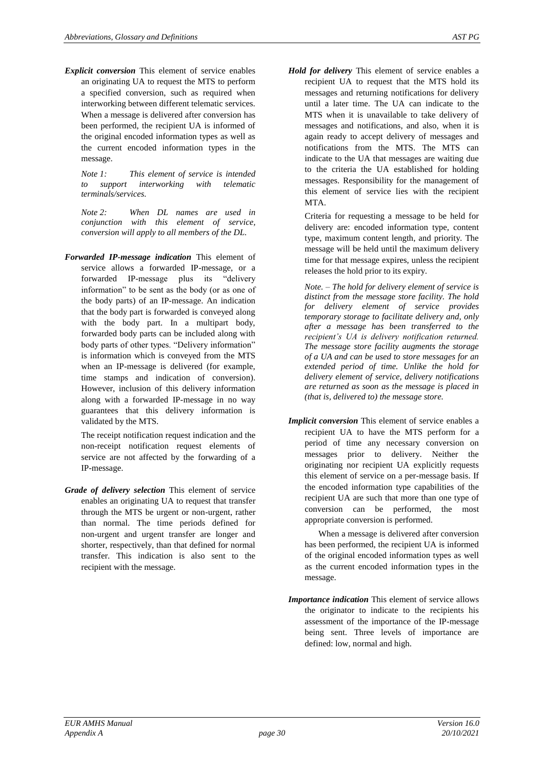*Explicit conversion* This element of service enables an originating UA to request the MTS to perform a specified conversion, such as required when interworking between different telematic services. When a message is delivered after conversion has been performed, the recipient UA is informed of the original encoded information types as well as the current encoded information types in the message.

*Note 1: This element of service is intended to support interworking with telematic terminals/services.*

*Note 2: When DL names are used in conjunction with this element of service, conversion will apply to all members of the DL.*

*Forwarded IP-message indication* This element of service allows a forwarded IP-message, or a forwarded IP-message plus its "delivery information" to be sent as the body (or as one of the body parts) of an IP-message. An indication that the body part is forwarded is conveyed along with the body part. In a multipart body, forwarded body parts can be included along with body parts of other types. "Delivery information" is information which is conveyed from the MTS when an IP-message is delivered (for example, time stamps and indication of conversion). However, inclusion of this delivery information along with a forwarded IP-message in no way guarantees that this delivery information is validated by the MTS.

The receipt notification request indication and the non-receipt notification request elements of service are not affected by the forwarding of a IP-message.

*Grade of delivery selection* This element of service enables an originating UA to request that transfer through the MTS be urgent or non-urgent, rather than normal. The time periods defined for non-urgent and urgent transfer are longer and shorter, respectively, than that defined for normal transfer. This indication is also sent to the recipient with the message.

*Hold for delivery* This element of service enables a recipient UA to request that the MTS hold its messages and returning notifications for delivery until a later time. The UA can indicate to the MTS when it is unavailable to take delivery of messages and notifications, and also, when it is again ready to accept delivery of messages and notifications from the MTS. The MTS can indicate to the UA that messages are waiting due to the criteria the UA established for holding messages. Responsibility for the management of this element of service lies with the recipient MTA.

Criteria for requesting a message to be held for delivery are: encoded information type, content type, maximum content length, and priority. The message will be held until the maximum delivery time for that message expires, unless the recipient releases the hold prior to its expiry.

*Note. – The hold for delivery element of service is distinct from the message store facility. The hold for delivery element of service provides temporary storage to facilitate delivery and, only after a message has been transferred to the recipient's UA is delivery notification returned. The message store facility augments the storage of a UA and can be used to store messages for an extended period of time. Unlike the hold for delivery element of service, delivery notifications are returned as soon as the message is placed in (that is, delivered to) the message store.*

*Implicit conversion* This element of service enables a recipient UA to have the MTS perform for a period of time any necessary conversion on messages prior to delivery. Neither the originating nor recipient UA explicitly requests this element of service on a per-message basis. If the encoded information type capabilities of the recipient UA are such that more than one type of conversion can be performed, the most appropriate conversion is performed.

When a message is delivered after conversion has been performed, the recipient UA is informed of the original encoded information types as well as the current encoded information types in the message.

*Importance indication* This element of service allows the originator to indicate to the recipients his assessment of the importance of the IP-message being sent. Three levels of importance are defined: low, normal and high.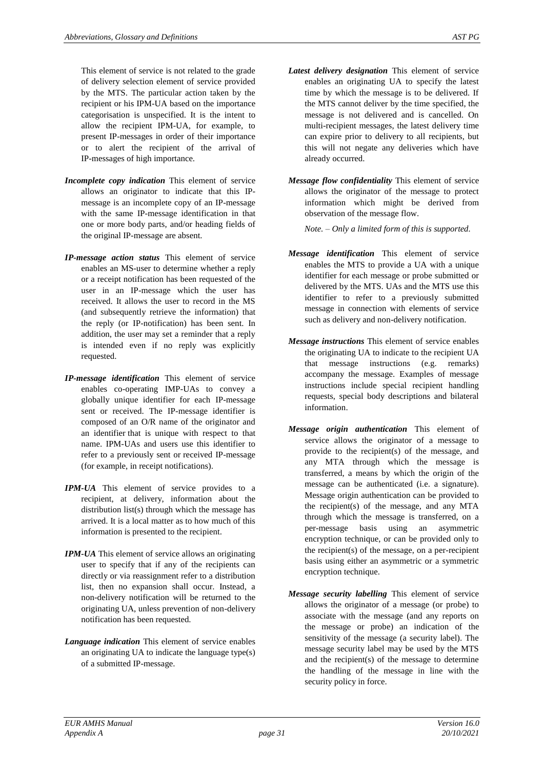This element of service is not related to the grade of delivery selection element of service provided by the MTS. The particular action taken by the recipient or his IPM-UA based on the importance categorisation is unspecified. It is the intent to allow the recipient IPM-UA, for example, to present IP-messages in order of their importance or to alert the recipient of the arrival of IP-messages of high importance.

- *Incomplete copy indication* This element of service allows an originator to indicate that this IPmessage is an incomplete copy of an IP-message with the same IP-message identification in that one or more body parts, and/or heading fields of the original IP-message are absent.
- *IP-message action status* This element of service enables an MS-user to determine whether a reply or a receipt notification has been requested of the user in an IP-message which the user has received. It allows the user to record in the MS (and subsequently retrieve the information) that the reply (or IP-notification) has been sent. In addition, the user may set a reminder that a reply is intended even if no reply was explicitly requested.
- *IP-message identification* This element of service enables co-operating IMP-UAs to convey a globally unique identifier for each IP-message sent or received. The IP-message identifier is composed of an O/R name of the originator and an identifier that is unique with respect to that name. IPM-UAs and users use this identifier to refer to a previously sent or received IP-message (for example, in receipt notifications).
- *IPM-UA* This element of service provides to a recipient, at delivery, information about the distribution list(s) through which the message has arrived. It is a local matter as to how much of this information is presented to the recipient.
- *IPM-UA* This element of service allows an originating user to specify that if any of the recipients can directly or via reassignment refer to a distribution list, then no expansion shall occur. Instead, a non-delivery notification will be returned to the originating UA, unless prevention of non-delivery notification has been requested.
- *Language indication* This element of service enables an originating UA to indicate the language type(s) of a submitted IP-message.
- *Latest delivery designation* This element of service enables an originating UA to specify the latest time by which the message is to be delivered. If the MTS cannot deliver by the time specified, the message is not delivered and is cancelled. On multi-recipient messages, the latest delivery time can expire prior to delivery to all recipients, but this will not negate any deliveries which have already occurred.
- *Message flow confidentiality* This element of service allows the originator of the message to protect information which might be derived from observation of the message flow.

*Note. – Only a limited form of this is supported.*

- *Message identification* This element of service enables the MTS to provide a UA with a unique identifier for each message or probe submitted or delivered by the MTS. UAs and the MTS use this identifier to refer to a previously submitted message in connection with elements of service such as delivery and non-delivery notification.
- *Message instructions* This element of service enables the originating UA to indicate to the recipient UA that message instructions (e.g. remarks) accompany the message. Examples of message instructions include special recipient handling requests, special body descriptions and bilateral information.
- *Message origin authentication* This element of service allows the originator of a message to provide to the recipient(s) of the message, and any MTA through which the message is transferred, a means by which the origin of the message can be authenticated (i.e. a signature). Message origin authentication can be provided to the recipient(s) of the message, and any MTA through which the message is transferred, on a per-message basis using an asymmetric encryption technique, or can be provided only to the recipient(s) of the message, on a per-recipient basis using either an asymmetric or a symmetric encryption technique.
- *Message security labelling* This element of service allows the originator of a message (or probe) to associate with the message (and any reports on the message or probe) an indication of the sensitivity of the message (a security label). The message security label may be used by the MTS and the recipient(s) of the message to determine the handling of the message in line with the security policy in force.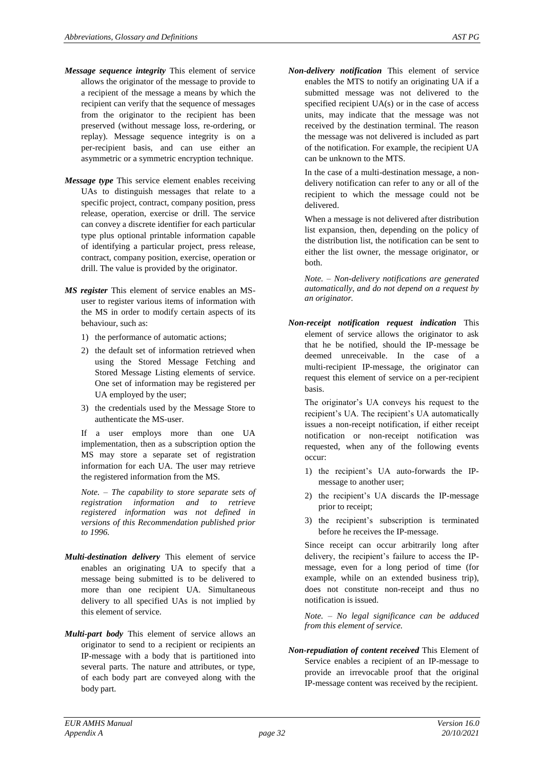- *Message sequence integrity* This element of service allows the originator of the message to provide to a recipient of the message a means by which the recipient can verify that the sequence of messages from the originator to the recipient has been preserved (without message loss, re-ordering, or replay). Message sequence integrity is on a per-recipient basis, and can use either an asymmetric or a symmetric encryption technique.
- *Message type* This service element enables receiving UAs to distinguish messages that relate to a specific project, contract, company position, press release, operation, exercise or drill. The service can convey a discrete identifier for each particular type plus optional printable information capable of identifying a particular project, press release, contract, company position, exercise, operation or drill. The value is provided by the originator.
- *MS register* This element of service enables an MSuser to register various items of information with the MS in order to modify certain aspects of its behaviour, such as:
	- 1) the performance of automatic actions;
	- 2) the default set of information retrieved when using the Stored Message Fetching and Stored Message Listing elements of service. One set of information may be registered per UA employed by the user;
	- 3) the credentials used by the Message Store to authenticate the MS-user.

If a user employs more than one UA implementation, then as a subscription option the MS may store a separate set of registration information for each UA. The user may retrieve the registered information from the MS.

*Note. – The capability to store separate sets of registration information and to retrieve registered information was not defined in versions of this Recommendation published prior to 1996.*

- *Multi-destination delivery* This element of service enables an originating UA to specify that a message being submitted is to be delivered to more than one recipient UA. Simultaneous delivery to all specified UAs is not implied by this element of service.
- *Multi-part body* This element of service allows an originator to send to a recipient or recipients an IP-message with a body that is partitioned into several parts. The nature and attributes, or type, of each body part are conveyed along with the body part.

*Non-delivery notification* This element of service enables the MTS to notify an originating UA if a submitted message was not delivered to the specified recipient UA(s) or in the case of access units, may indicate that the message was not received by the destination terminal. The reason the message was not delivered is included as part of the notification. For example, the recipient UA can be unknown to the MTS.

In the case of a multi-destination message, a nondelivery notification can refer to any or all of the recipient to which the message could not be delivered.

When a message is not delivered after distribution list expansion, then, depending on the policy of the distribution list, the notification can be sent to either the list owner, the message originator, or both.

*Note. – Non-delivery notifications are generated automatically, and do not depend on a request by an originator.*

*Non-receipt notification request indication* This element of service allows the originator to ask that he be notified, should the IP-message be deemed unreceivable. In the case of a multi-recipient IP-message, the originator can request this element of service on a per-recipient basis.

The originator's UA conveys his request to the recipient's UA. The recipient's UA automatically issues a non-receipt notification, if either receipt notification or non-receipt notification was requested, when any of the following events occur:

- 1) the recipient's UA auto-forwards the IPmessage to another user;
- 2) the recipient's UA discards the IP-message prior to receipt;
- 3) the recipient's subscription is terminated before he receives the IP-message.

Since receipt can occur arbitrarily long after delivery, the recipient's failure to access the IPmessage, even for a long period of time (for example, while on an extended business trip), does not constitute non-receipt and thus no notification is issued.

*Note. – No legal significance can be adduced from this element of service.*

*Non-repudiation of content received* This Element of Service enables a recipient of an IP-message to provide an irrevocable proof that the original IP-message content was received by the recipient.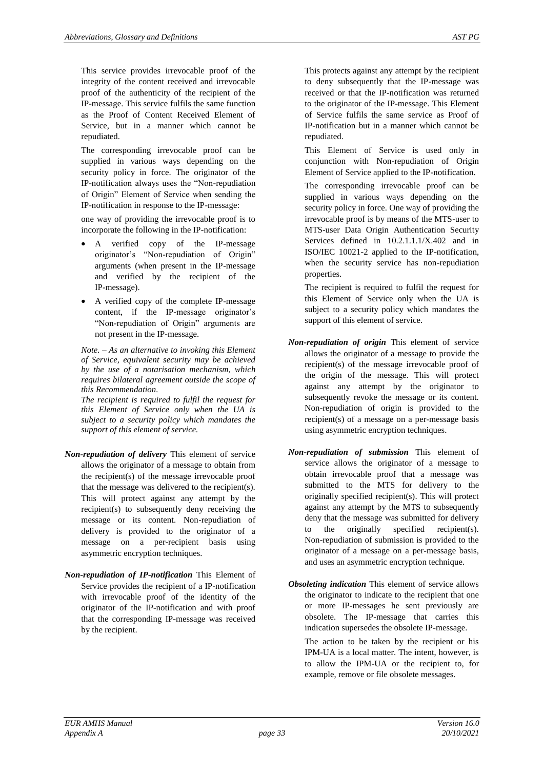This service provides irrevocable proof of the integrity of the content received and irrevocable proof of the authenticity of the recipient of the IP-message. This service fulfils the same function as the Proof of Content Received Element of Service, but in a manner which cannot be repudiated.

The corresponding irrevocable proof can be supplied in various ways depending on the security policy in force. The originator of the IP-notification always uses the "Non-repudiation of Origin" Element of Service when sending the IP-notification in response to the IP-message:

one way of providing the irrevocable proof is to incorporate the following in the IP-notification:

- A verified copy of the IP-message originator's "Non-repudiation of Origin" arguments (when present in the IP-message and verified by the recipient of the IP-message).
- A verified copy of the complete IP-message content, if the IP-message originator's "Non-repudiation of Origin" arguments are not present in the IP-message.

*Note. – As an alternative to invoking this Element of Service, equivalent security may be achieved by the use of a notarisation mechanism, which requires bilateral agreement outside the scope of this Recommendation.*

*The recipient is required to fulfil the request for this Element of Service only when the UA is subject to a security policy which mandates the support of this element of service.*

- *Non-repudiation of delivery* This element of service allows the originator of a message to obtain from the recipient(s) of the message irrevocable proof that the message was delivered to the recipient(s). This will protect against any attempt by the recipient(s) to subsequently deny receiving the message or its content. Non-repudiation of delivery is provided to the originator of a message on a per-recipient basis using asymmetric encryption techniques.
- *Non-repudiation of IP-notification* This Element of Service provides the recipient of a IP-notification with irrevocable proof of the identity of the originator of the IP-notification and with proof that the corresponding IP-message was received by the recipient.

This protects against any attempt by the recipient to deny subsequently that the IP-message was received or that the IP-notification was returned to the originator of the IP-message. This Element of Service fulfils the same service as Proof of IP-notification but in a manner which cannot be repudiated.

This Element of Service is used only in conjunction with Non-repudiation of Origin Element of Service applied to the IP-notification.

The corresponding irrevocable proof can be supplied in various ways depending on the security policy in force. One way of providing the irrevocable proof is by means of the MTS-user to MTS-user Data Origin Authentication Security Services defined in 10.2.1.1.1/X.402 and in ISO/IEC 10021-2 applied to the IP-notification, when the security service has non-repudiation properties.

The recipient is required to fulfil the request for this Element of Service only when the UA is subject to a security policy which mandates the support of this element of service.

- *Non-repudiation of origin* This element of service allows the originator of a message to provide the recipient(s) of the message irrevocable proof of the origin of the message. This will protect against any attempt by the originator to subsequently revoke the message or its content. Non-repudiation of origin is provided to the recipient(s) of a message on a per-message basis using asymmetric encryption techniques.
- *Non-repudiation of submission* This element of service allows the originator of a message to obtain irrevocable proof that a message was submitted to the MTS for delivery to the originally specified recipient(s). This will protect against any attempt by the MTS to subsequently deny that the message was submitted for delivery to the originally specified recipient(s). Non-repudiation of submission is provided to the originator of a message on a per-message basis, and uses an asymmetric encryption technique.
- *Obsoleting indication* This element of service allows the originator to indicate to the recipient that one or more IP-messages he sent previously are obsolete. The IP-message that carries this indication supersedes the obsolete IP-message.

The action to be taken by the recipient or his IPM-UA is a local matter. The intent, however, is to allow the IPM-UA or the recipient to, for example, remove or file obsolete messages.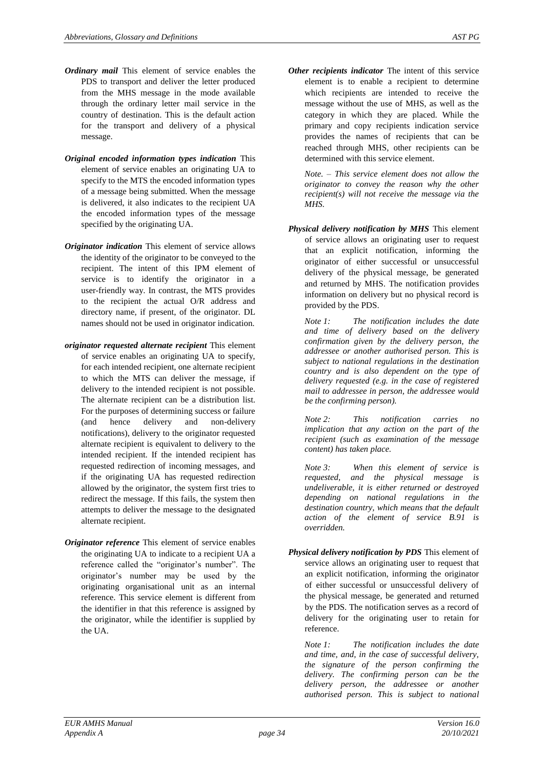- *Ordinary mail* This element of service enables the PDS to transport and deliver the letter produced from the MHS message in the mode available through the ordinary letter mail service in the country of destination. This is the default action for the transport and delivery of a physical message.
- *Original encoded information types indication* This element of service enables an originating UA to specify to the MTS the encoded information types of a message being submitted. When the message is delivered, it also indicates to the recipient UA the encoded information types of the message specified by the originating UA.
- *Originator indication* This element of service allows the identity of the originator to be conveyed to the recipient. The intent of this IPM element of service is to identify the originator in a user-friendly way. In contrast, the MTS provides to the recipient the actual O/R address and directory name, if present, of the originator. DL names should not be used in originator indication.
- *originator requested alternate recipient* This element of service enables an originating UA to specify, for each intended recipient, one alternate recipient to which the MTS can deliver the message, if delivery to the intended recipient is not possible. The alternate recipient can be a distribution list. For the purposes of determining success or failure (and hence delivery and non-delivery notifications), delivery to the originator requested alternate recipient is equivalent to delivery to the intended recipient. If the intended recipient has requested redirection of incoming messages, and if the originating UA has requested redirection allowed by the originator, the system first tries to redirect the message. If this fails, the system then attempts to deliver the message to the designated alternate recipient.
- *Originator reference* This element of service enables the originating UA to indicate to a recipient UA a reference called the "originator's number". The originator's number may be used by the originating organisational unit as an internal reference. This service element is different from the identifier in that this reference is assigned by the originator, while the identifier is supplied by the UA.

*Other recipients indicator* The intent of this service element is to enable a recipient to determine which recipients are intended to receive the message without the use of MHS, as well as the category in which they are placed. While the primary and copy recipients indication service provides the names of recipients that can be reached through MHS, other recipients can be determined with this service element.

*Note. – This service element does not allow the originator to convey the reason why the other recipient(s) will not receive the message via the MHS.*

*Physical delivery notification by MHS* This element of service allows an originating user to request that an explicit notification, informing the originator of either successful or unsuccessful delivery of the physical message, be generated and returned by MHS. The notification provides information on delivery but no physical record is provided by the PDS.

*Note 1: The notification includes the date and time of delivery based on the delivery confirmation given by the delivery person, the addressee or another authorised person. This is subject to national regulations in the destination country and is also dependent on the type of delivery requested (e.g. in the case of registered mail to addressee in person, the addressee would be the confirming person).*

*Note 2: This notification carries no implication that any action on the part of the recipient (such as examination of the message content) has taken place.*

*Note 3: When this element of service is requested, and the physical message is undeliverable, it is either returned or destroyed depending on national regulations in the destination country, which means that the default action of the element of service B.91 is overridden.*

*Physical delivery notification by PDS* This element of service allows an originating user to request that an explicit notification, informing the originator of either successful or unsuccessful delivery of the physical message, be generated and returned by the PDS. The notification serves as a record of delivery for the originating user to retain for reference.

*Note 1: The notification includes the date and time, and, in the case of successful delivery, the signature of the person confirming the delivery. The confirming person can be the delivery person, the addressee or another authorised person. This is subject to national*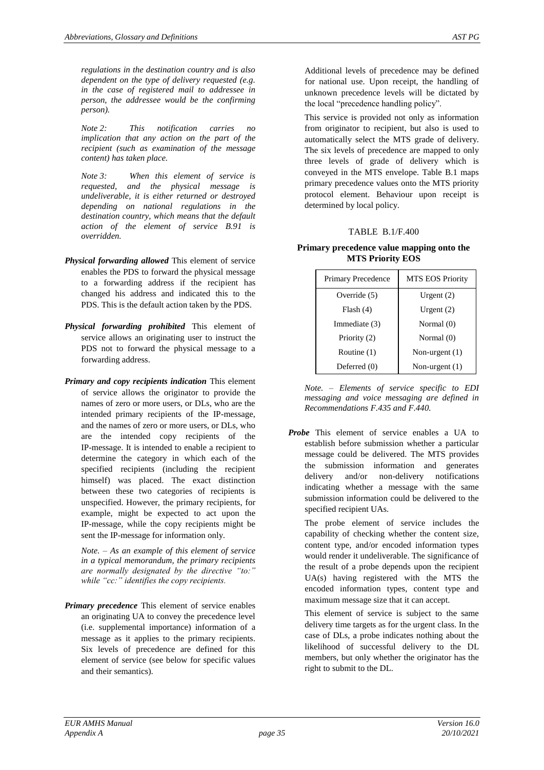*regulations in the destination country and is also dependent on the type of delivery requested (e.g. in the case of registered mail to addressee in person, the addressee would be the confirming person).*

*Note 2: This notification carries no implication that any action on the part of the recipient (such as examination of the message content) has taken place.*

*Note 3: When this element of service is requested, and the physical message is undeliverable, it is either returned or destroyed depending on national regulations in the destination country, which means that the default action of the element of service B.91 is overridden.*

- *Physical forwarding allowed* This element of service enables the PDS to forward the physical message to a forwarding address if the recipient has changed his address and indicated this to the PDS. This is the default action taken by the PDS.
- *Physical forwarding prohibited* This element of service allows an originating user to instruct the PDS not to forward the physical message to a forwarding address.
- *Primary and copy recipients indication* This element of service allows the originator to provide the names of zero or more users, or DLs, who are the intended primary recipients of the IP-message, and the names of zero or more users, or DLs, who are the intended copy recipients of the IP-message. It is intended to enable a recipient to determine the category in which each of the specified recipients (including the recipient himself) was placed. The exact distinction between these two categories of recipients is unspecified. However, the primary recipients, for example, might be expected to act upon the IP-message, while the copy recipients might be sent the IP-message for information only.

*Note. – As an example of this element of service in a typical memorandum, the primary recipients are normally designated by the directive "to:" while "cc:" identifies the copy recipients.*

*Primary precedence* This element of service enables an originating UA to convey the precedence level (i.e. supplemental importance) information of a message as it applies to the primary recipients. Six levels of precedence are defined for this element of service (see below for specific values and their semantics).

Additional levels of precedence may be defined for national use. Upon receipt, the handling of unknown precedence levels will be dictated by the local "precedence handling policy".

This service is provided not only as information from originator to recipient, but also is used to automatically select the MTS grade of delivery. The six levels of precedence are mapped to only three levels of grade of delivery which is conveyed in the MTS envelope. Table B.1 maps primary precedence values onto the MTS priority protocol element. Behaviour upon receipt is determined by local policy.

#### TABLE B.1/F.400

**Primary precedence value mapping onto the MTS Priority EOS**

| <b>Primary Precedence</b> | <b>MTS EOS Priority</b> |
|---------------------------|-------------------------|
| Override (5)              | Urgent $(2)$            |
| Flash(4)                  | Urgent $(2)$            |
| Immediate (3)             | Normal (0)              |
| Priority (2)              | Normal $(0)$            |
| Routine (1)               | Non-urgent $(1)$        |
| Deferred $(0)$            | Non-urgent $(1)$        |

*Note. – Elements of service specific to EDI messaging and voice messaging are defined in Recommendations F.435 and F.440.*

*Probe* This element of service enables a UA to establish before submission whether a particular message could be delivered. The MTS provides the submission information and generates delivery and/or non-delivery notifications indicating whether a message with the same submission information could be delivered to the specified recipient UAs.

The probe element of service includes the capability of checking whether the content size, content type, and/or encoded information types would render it undeliverable. The significance of the result of a probe depends upon the recipient UA(s) having registered with the MTS the encoded information types, content type and maximum message size that it can accept.

This element of service is subject to the same delivery time targets as for the urgent class. In the case of DLs, a probe indicates nothing about the likelihood of successful delivery to the DL members, but only whether the originator has the right to submit to the DL.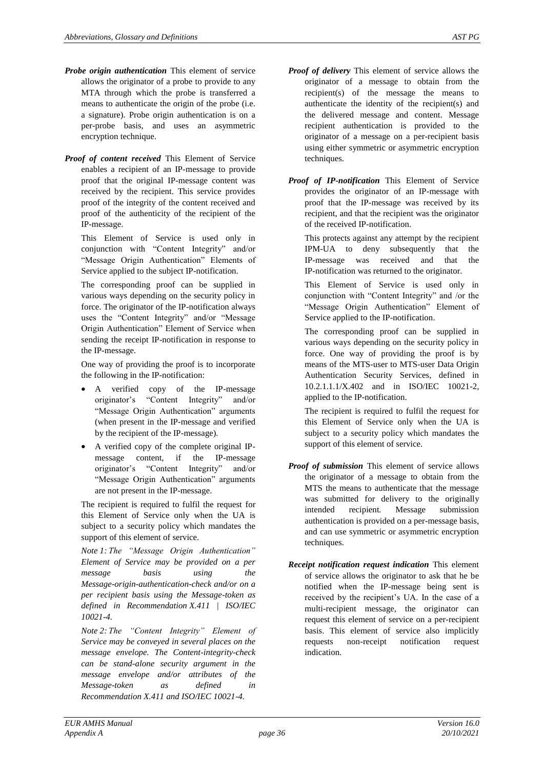- *Probe origin authentication* This element of service allows the originator of a probe to provide to any MTA through which the probe is transferred a means to authenticate the origin of the probe (i.e. a signature). Probe origin authentication is on a per-probe basis, and uses an asymmetric encryption technique.
- *Proof of content received* This Element of Service enables a recipient of an IP-message to provide proof that the original IP-message content was received by the recipient. This service provides proof of the integrity of the content received and proof of the authenticity of the recipient of the IP-message.

This Element of Service is used only in conjunction with "Content Integrity" and/or "Message Origin Authentication" Elements of Service applied to the subject IP-notification.

The corresponding proof can be supplied in various ways depending on the security policy in force. The originator of the IP-notification always uses the "Content Integrity" and/or "Message Origin Authentication" Element of Service when sending the receipt IP-notification in response to the IP-message.

One way of providing the proof is to incorporate the following in the IP-notification:

- verified copy of the IP-message originator's "Content Integrity" and/or "Message Origin Authentication" arguments (when present in the IP-message and verified by the recipient of the IP-message).
- A verified copy of the complete original IPmessage content, if the IP-message originator's "Content Integrity" and/or "Message Origin Authentication" arguments are not present in the IP-message.

The recipient is required to fulfil the request for this Element of Service only when the UA is subject to a security policy which mandates the support of this element of service.

*Note 1: The "Message Origin Authentication" Element of Service may be provided on a per message basis using the Message-origin-authentication-check and/or on a per recipient basis using the Message-token as defined in Recommendation X.411 | ISO/IEC 10021-4.*

*Note 2: The "Content Integrity" Element of Service may be conveyed in several places on the message envelope. The Content-integrity-check can be stand-alone security argument in the message envelope and/or attributes of the Message-token as defined in Recommendation X.411 and ISO/IEC 10021-4.*

- *Proof of delivery* This element of service allows the originator of a message to obtain from the recipient(s) of the message the means to authenticate the identity of the recipient(s) and the delivered message and content. Message recipient authentication is provided to the originator of a message on a per-recipient basis using either symmetric or asymmetric encryption techniques.
- *Proof of IP-notification* This Element of Service provides the originator of an IP-message with proof that the IP-message was received by its recipient, and that the recipient was the originator of the received IP-notification.

This protects against any attempt by the recipient IPM-UA to deny subsequently that the IP-message was received and that the IP-notification was returned to the originator.

This Element of Service is used only in conjunction with "Content Integrity" and /or the "Message Origin Authentication" Element of Service applied to the IP-notification.

The corresponding proof can be supplied in various ways depending on the security policy in force. One way of providing the proof is by means of the MTS-user to MTS-user Data Origin Authentication Security Services, defined in 10.2.1.1.1/X.402 and in ISO/IEC 10021-2, applied to the IP-notification.

The recipient is required to fulfil the request for this Element of Service only when the UA is subject to a security policy which mandates the support of this element of service.

- *Proof of submission* This element of service allows the originator of a message to obtain from the MTS the means to authenticate that the message was submitted for delivery to the originally intended recipient. Message submission authentication is provided on a per-message basis, and can use symmetric or asymmetric encryption techniques.
- *Receipt notification request indication* This element of service allows the originator to ask that he be notified when the IP-message being sent is received by the recipient's UA. In the case of a multi-recipient message, the originator can request this element of service on a per-recipient basis. This element of service also implicitly requests non-receipt notification request indication.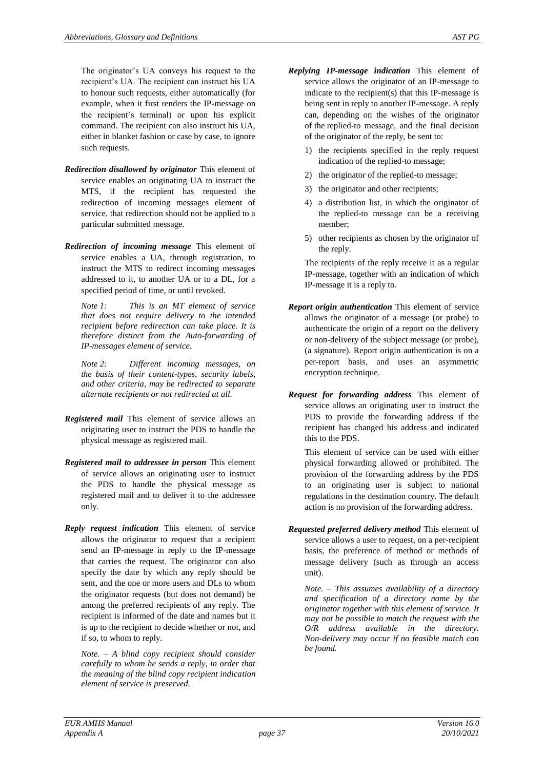The originator's UA conveys his request to the recipient's UA. The recipient can instruct his UA to honour such requests, either automatically (for example, when it first renders the IP-message on the recipient's terminal) or upon his explicit command. The recipient can also instruct his UA, either in blanket fashion or case by case, to ignore such requests.

- *Redirection disallowed by originator* This element of service enables an originating UA to instruct the MTS, if the recipient has requested the redirection of incoming messages element of service, that redirection should not be applied to a particular submitted message.
- *Redirection of incoming message* This element of service enables a UA, through registration, to instruct the MTS to redirect incoming messages addressed to it, to another UA or to a DL, for a specified period of time, or until revoked.

*Note 1: This is an MT element of service that does not require delivery to the intended recipient before redirection can take place. It is therefore distinct from the Auto-forwarding of IP-messages element of service.*

*Note 2: Different incoming messages, on the basis of their content-types, security labels, and other criteria, may be redirected to separate alternate recipients or not redirected at all.*

- *Registered mail* This element of service allows an originating user to instruct the PDS to handle the physical message as registered mail.
- *Registered mail to addressee in person* This element of service allows an originating user to instruct the PDS to handle the physical message as registered mail and to deliver it to the addressee only.
- *Reply request indication* This element of service allows the originator to request that a recipient send an IP-message in reply to the IP-message that carries the request. The originator can also specify the date by which any reply should be sent, and the one or more users and DLs to whom the originator requests (but does not demand) be among the preferred recipients of any reply. The recipient is informed of the date and names but it is up to the recipient to decide whether or not, and if so, to whom to reply.

*Note. – A blind copy recipient should consider carefully to whom he sends a reply, in order that the meaning of the blind copy recipient indication element of service is preserved.*

- *Replying IP-message indication* This element of service allows the originator of an IP-message to indicate to the recipient(s) that this IP-message is being sent in reply to another IP-message. A reply can, depending on the wishes of the originator of the replied-to message, and the final decision of the originator of the reply, be sent to:
	- 1) the recipients specified in the reply request indication of the replied-to message;
	- 2) the originator of the replied-to message;
	- 3) the originator and other recipients;
	- 4) a distribution list, in which the originator of the replied-to message can be a receiving member;
	- 5) other recipients as chosen by the originator of the reply.

The recipients of the reply receive it as a regular IP-message, together with an indication of which IP-message it is a reply to.

- *Report origin authentication* This element of service allows the originator of a message (or probe) to authenticate the origin of a report on the delivery or non-delivery of the subject message (or probe), (a signature). Report origin authentication is on a per-report basis, and uses an asymmetric encryption technique.
- *Request for forwarding address* This element of service allows an originating user to instruct the PDS to provide the forwarding address if the recipient has changed his address and indicated this to the PDS.

This element of service can be used with either physical forwarding allowed or prohibited. The provision of the forwarding address by the PDS to an originating user is subject to national regulations in the destination country. The default action is no provision of the forwarding address.

*Requested preferred delivery method* This element of service allows a user to request, on a per-recipient basis, the preference of method or methods of message delivery (such as through an access unit).

*Note. – This assumes availability of a directory and specification of a directory name by the originator together with this element of service. It may not be possible to match the request with the O/R address available in the directory. Non-delivery may occur if no feasible match can be found.*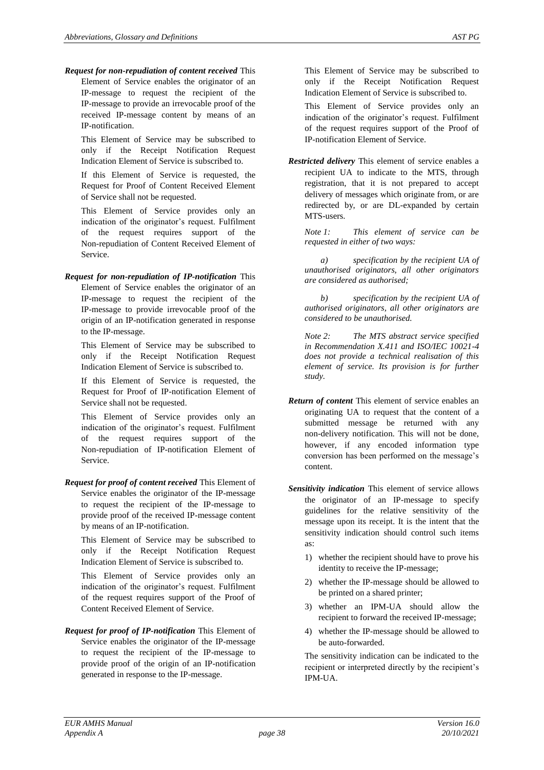*Request for non-repudiation of content received* This Element of Service enables the originator of an IP-message to request the recipient of the IP-message to provide an irrevocable proof of the received IP-message content by means of an IP-notification.

This Element of Service may be subscribed to only if the Receipt Notification Request Indication Element of Service is subscribed to.

If this Element of Service is requested, the Request for Proof of Content Received Element of Service shall not be requested.

This Element of Service provides only an indication of the originator's request. Fulfilment of the request requires support of the Non-repudiation of Content Received Element of Service.

*Request for non-repudiation of IP-notification* This Element of Service enables the originator of an IP-message to request the recipient of the IP-message to provide irrevocable proof of the origin of an IP-notification generated in response to the IP-message.

This Element of Service may be subscribed to only if the Receipt Notification Request Indication Element of Service is subscribed to.

If this Element of Service is requested, the Request for Proof of IP-notification Element of Service shall not be requested.

This Element of Service provides only an indication of the originator's request. Fulfilment of the request requires support of the Non-repudiation of IP-notification Element of Service.

*Request for proof of content received* This Element of Service enables the originator of the IP-message to request the recipient of the IP-message to provide proof of the received IP-message content by means of an IP-notification.

This Element of Service may be subscribed to only if the Receipt Notification Request Indication Element of Service is subscribed to.

This Element of Service provides only an indication of the originator's request. Fulfilment of the request requires support of the Proof of Content Received Element of Service.

*Request for proof of IP-notification* This Element of Service enables the originator of the IP-message to request the recipient of the IP-message to provide proof of the origin of an IP-notification generated in response to the IP-message.

This Element of Service may be subscribed to only if the Receipt Notification Request Indication Element of Service is subscribed to.

This Element of Service provides only an indication of the originator's request. Fulfilment of the request requires support of the Proof of IP-notification Element of Service.

*Restricted delivery* This element of service enables a recipient UA to indicate to the MTS, through registration, that it is not prepared to accept delivery of messages which originate from, or are redirected by, or are DL-expanded by certain MTS-users.

*Note 1: This element of service can be requested in either of two ways:*

*a) specification by the recipient UA of unauthorised originators, all other originators are considered as authorised;*

*b) specification by the recipient UA of authorised originators, all other originators are considered to be unauthorised.*

*Note 2: The MTS abstract service specified in Recommendation X.411 and ISO/IEC 10021-4 does not provide a technical realisation of this element of service. Its provision is for further study.*

- *Return of content* This element of service enables an originating UA to request that the content of a submitted message be returned with any non-delivery notification. This will not be done, however, if any encoded information type conversion has been performed on the message's content.
- *Sensitivity indication* This element of service allows the originator of an IP-message to specify guidelines for the relative sensitivity of the message upon its receipt. It is the intent that the sensitivity indication should control such items as:
	- 1) whether the recipient should have to prove his identity to receive the IP-message;
	- 2) whether the IP-message should be allowed to be printed on a shared printer;
	- 3) whether an IPM-UA should allow the recipient to forward the received IP-message;
	- 4) whether the IP-message should be allowed to be auto-forwarded.

The sensitivity indication can be indicated to the recipient or interpreted directly by the recipient's IPM-UA.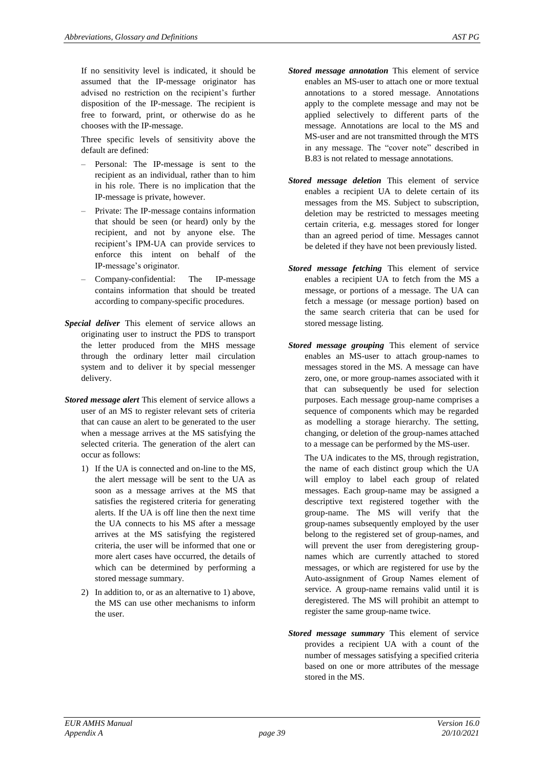If no sensitivity level is indicated, it should be assumed that the IP-message originator has advised no restriction on the recipient's further disposition of the IP-message. The recipient is free to forward, print, or otherwise do as he chooses with the IP-message.

Three specific levels of sensitivity above the default are defined:

- Personal: The IP-message is sent to the recipient as an individual, rather than to him in his role. There is no implication that the IP-message is private, however.
- Private: The IP-message contains information that should be seen (or heard) only by the recipient, and not by anyone else. The recipient's IPM-UA can provide services to enforce this intent on behalf of the IP-message's originator.
- Company-confidential: The IP-message contains information that should be treated according to company-specific procedures.
- *Special deliver* This element of service allows an originating user to instruct the PDS to transport the letter produced from the MHS message through the ordinary letter mail circulation system and to deliver it by special messenger delivery.
- *Stored message alert* This element of service allows a user of an MS to register relevant sets of criteria that can cause an alert to be generated to the user when a message arrives at the MS satisfying the selected criteria. The generation of the alert can occur as follows:
	- 1) If the UA is connected and on-line to the MS, the alert message will be sent to the UA as soon as a message arrives at the MS that satisfies the registered criteria for generating alerts. If the UA is off line then the next time the UA connects to his MS after a message arrives at the MS satisfying the registered criteria, the user will be informed that one or more alert cases have occurred, the details of which can be determined by performing a stored message summary.
	- 2) In addition to, or as an alternative to 1) above, the MS can use other mechanisms to inform the user.
- *Stored message annotation* This element of service enables an MS-user to attach one or more textual annotations to a stored message. Annotations apply to the complete message and may not be applied selectively to different parts of the message. Annotations are local to the MS and MS-user and are not transmitted through the MTS in any message. The "cover note" described in B.83 is not related to message annotations.
- *Stored message deletion* This element of service enables a recipient UA to delete certain of its messages from the MS. Subject to subscription, deletion may be restricted to messages meeting certain criteria, e.g. messages stored for longer than an agreed period of time. Messages cannot be deleted if they have not been previously listed.
- *Stored message fetching* This element of service enables a recipient UA to fetch from the MS a message, or portions of a message. The UA can fetch a message (or message portion) based on the same search criteria that can be used for stored message listing.
- *Stored message grouping* This element of service enables an MS-user to attach group-names to messages stored in the MS. A message can have zero, one, or more group-names associated with it that can subsequently be used for selection purposes. Each message group-name comprises a sequence of components which may be regarded as modelling a storage hierarchy. The setting, changing, or deletion of the group-names attached to a message can be performed by the MS-user.
	- The UA indicates to the MS, through registration, the name of each distinct group which the UA will employ to label each group of related messages. Each group-name may be assigned a descriptive text registered together with the group-name. The MS will verify that the group-names subsequently employed by the user belong to the registered set of group-names, and will prevent the user from deregistering groupnames which are currently attached to stored messages, or which are registered for use by the Auto-assignment of Group Names element of service. A group-name remains valid until it is deregistered. The MS will prohibit an attempt to register the same group-name twice.
- *Stored message summary* This element of service provides a recipient UA with a count of the number of messages satisfying a specified criteria based on one or more attributes of the message stored in the MS.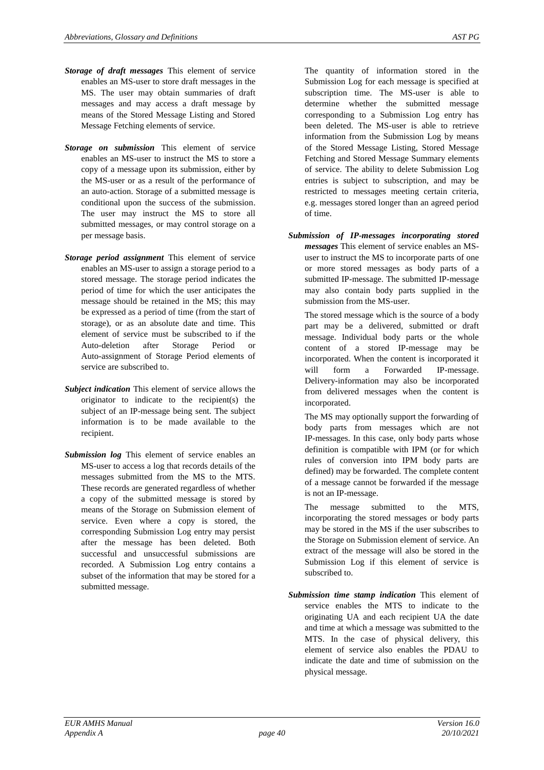- *Storage of draft messages* This element of service enables an MS-user to store draft messages in the MS. The user may obtain summaries of draft messages and may access a draft message by means of the Stored Message Listing and Stored Message Fetching elements of service.
- *Storage on submission* This element of service enables an MS-user to instruct the MS to store a copy of a message upon its submission, either by the MS-user or as a result of the performance of an auto-action. Storage of a submitted message is conditional upon the success of the submission. The user may instruct the MS to store all submitted messages, or may control storage on a per message basis.
- *Storage period assignment* This element of service enables an MS-user to assign a storage period to a stored message. The storage period indicates the period of time for which the user anticipates the message should be retained in the MS; this may be expressed as a period of time (from the start of storage), or as an absolute date and time. This element of service must be subscribed to if the Auto-deletion after Storage Period or Auto-assignment of Storage Period elements of service are subscribed to.
- *Subject indication* This element of service allows the originator to indicate to the recipient(s) the subject of an IP-message being sent. The subject information is to be made available to the recipient.
- *Submission log* This element of service enables an MS-user to access a log that records details of the messages submitted from the MS to the MTS. These records are generated regardless of whether a copy of the submitted message is stored by means of the Storage on Submission element of service. Even where a copy is stored, the corresponding Submission Log entry may persist after the message has been deleted. Both successful and unsuccessful submissions are recorded. A Submission Log entry contains a subset of the information that may be stored for a submitted message.

The quantity of information stored in the Submission Log for each message is specified at subscription time. The MS-user is able to determine whether the submitted message corresponding to a Submission Log entry has been deleted. The MS-user is able to retrieve information from the Submission Log by means of the Stored Message Listing, Stored Message Fetching and Stored Message Summary elements of service. The ability to delete Submission Log entries is subject to subscription, and may be restricted to messages meeting certain criteria, e.g. messages stored longer than an agreed period of time.

*Submission of IP-messages incorporating stored messages* This element of service enables an MSuser to instruct the MS to incorporate parts of one or more stored messages as body parts of a submitted IP-message. The submitted IP-message may also contain body parts supplied in the submission from the MS-user.

The stored message which is the source of a body part may be a delivered, submitted or draft message. Individual body parts or the whole content of a stored IP-message may be incorporated. When the content is incorporated it will form a Forwarded IP-message. Delivery-information may also be incorporated from delivered messages when the content is incorporated.

The MS may optionally support the forwarding of body parts from messages which are not IP-messages. In this case, only body parts whose definition is compatible with IPM (or for which rules of conversion into IPM body parts are defined) may be forwarded. The complete content of a message cannot be forwarded if the message is not an IP-message.

The message submitted to the MTS, incorporating the stored messages or body parts may be stored in the MS if the user subscribes to the Storage on Submission element of service. An extract of the message will also be stored in the Submission Log if this element of service is subscribed to.

*Submission time stamp indication* This element of service enables the MTS to indicate to the originating UA and each recipient UA the date and time at which a message was submitted to the MTS. In the case of physical delivery, this element of service also enables the PDAU to indicate the date and time of submission on the physical message.